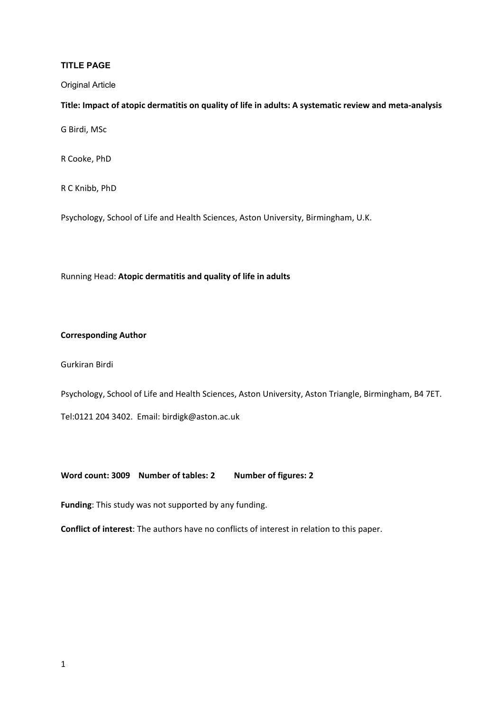## **TITLE PAGE**

Original Article

Title: Impact of atopic dermatitis on quality of life in adults: A systematic review and meta-analysis

G Birdi, MSc

R Cooke, PhD

R C Knibb, PhD

Psychology, School of Life and Health Sciences, Aston University, Birmingham, U.K.

Running Head: **Atopic dermatitis and quality of life in adults**

## **Corresponding Author**

Gurkiran Birdi

Psychology, School of Life and Health Sciences, Aston University, Aston Triangle, Birmingham, B4 7ET. Tel:0121 204 3402. Email: birdigk@aston.ac.uk

**Word count: 3009 Number of tables: 2 Number of figures: 2** 

**Funding**: This study was not supported by any funding.

**Conflict of interest**: The authors have no conflicts of interest in relation to this paper.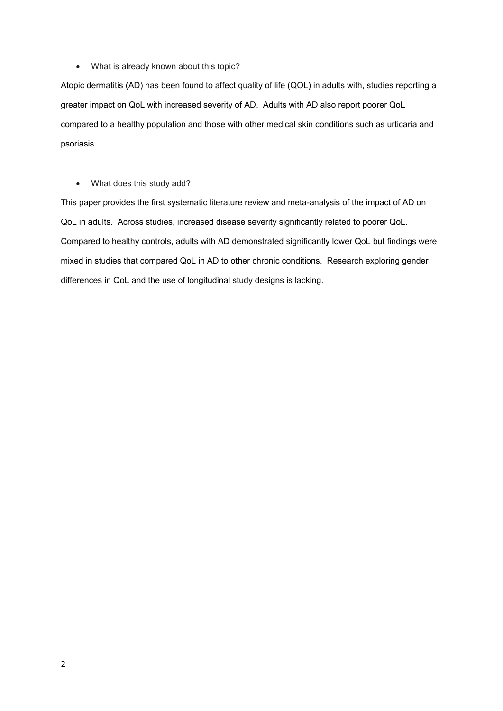What is already known about this topic?

Atopic dermatitis (AD) has been found to affect quality of life (QOL) in adults with, studies reporting a greater impact on QoL with increased severity of AD. Adults with AD also report poorer QoL compared to a healthy population and those with other medical skin conditions such as urticaria and psoriasis.

What does this study add?

This paper provides the first systematic literature review and meta-analysis of the impact of AD on QoL in adults. Across studies, increased disease severity significantly related to poorer QoL. Compared to healthy controls, adults with AD demonstrated significantly lower QoL but findings were mixed in studies that compared QoL in AD to other chronic conditions. Research exploring gender differences in QoL and the use of longitudinal study designs is lacking.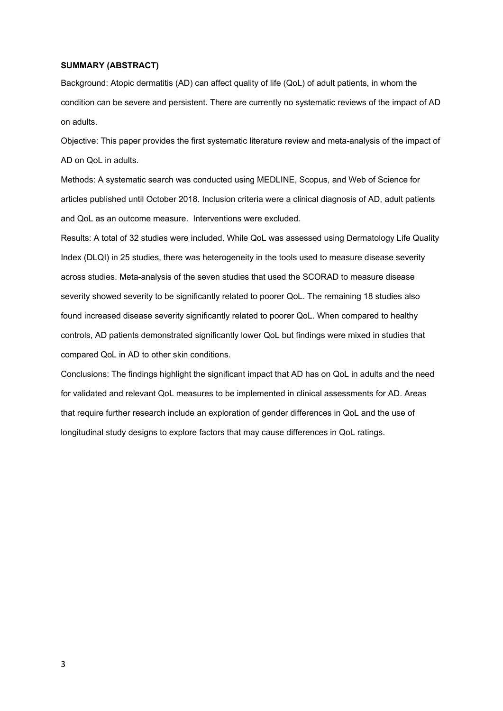## **SUMMARY (ABSTRACT)**

Background: Atopic dermatitis (AD) can affect quality of life (QoL) of adult patients, in whom the condition can be severe and persistent. There are currently no systematic reviews of the impact of AD on adults.

Objective: This paper provides the first systematic literature review and meta-analysis of the impact of AD on QoL in adults*.*

Methods: A systematic search was conducted using MEDLINE, Scopus, and Web of Science for articles published until October 2018. Inclusion criteria were a clinical diagnosis of AD, adult patients and QoL as an outcome measure. Interventions were excluded.

Results: A total of 32 studies were included. While QoL was assessed using Dermatology Life Quality Index (DLQI) in 25 studies, there was heterogeneity in the tools used to measure disease severity across studies. Meta-analysis of the seven studies that used the SCORAD to measure disease severity showed severity to be significantly related to poorer QoL. The remaining 18 studies also found increased disease severity significantly related to poorer QoL. When compared to healthy controls, AD patients demonstrated significantly lower QoL but findings were mixed in studies that compared QoL in AD to other skin conditions.

Conclusions: The findings highlight the significant impact that AD has on QoL in adults and the need for validated and relevant QoL measures to be implemented in clinical assessments for AD. Areas that require further research include an exploration of gender differences in QoL and the use of longitudinal study designs to explore factors that may cause differences in QoL ratings.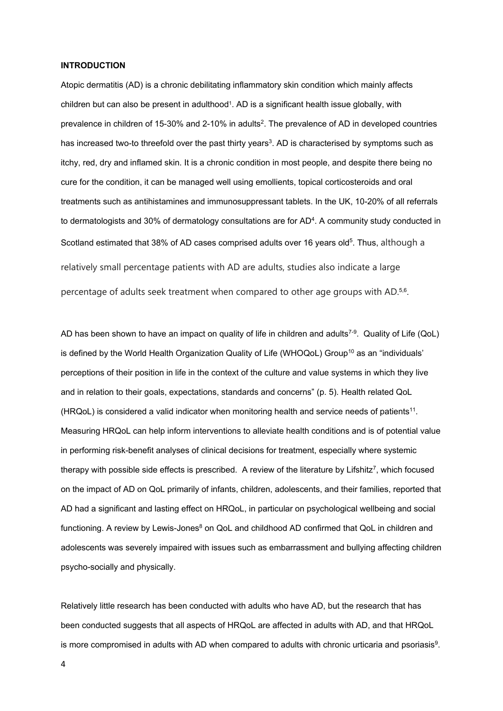## **INTRODUCTION**

Atopic dermatitis (AD) is a chronic debilitating inflammatory skin condition which mainly affects children but can also be present in adulthood<sup>1</sup>. AD is a significant health issue globally, with prevalence in children of 15-30% and 2-10% in adults2. The prevalence of AD in developed countries has increased two-to threefold over the past thirty years<sup>3</sup>. AD is characterised by symptoms such as itchy, red, dry and inflamed skin. It is a chronic condition in most people, and despite there being no cure for the condition, it can be managed well using emollients, topical corticosteroids and oral treatments such as antihistamines and immunosuppressant tablets. In the UK, 10-20% of all referrals to dermatologists and 30% of dermatology consultations are for AD<sup>4</sup>. A community study conducted in Scotland estimated that 38% of AD cases comprised adults over 16 years old<sup>5</sup>. Thus, although a relatively small percentage patients with AD are adults, studies also indicate a large percentage of adults seek treatment when compared to other age groups with AD.<sup>5,6</sup>.

AD has been shown to have an impact on quality of life in children and adults<sup>7-9</sup>. Quality of Life (QoL) is defined by the World Health Organization Quality of Life (WHOQoL) Group<sup>10</sup> as an "individuals" perceptions of their position in life in the context of the culture and value systems in which they live and in relation to their goals, expectations, standards and concerns" (p. 5). Health related QoL (HRQoL) is considered a valid indicator when monitoring health and service needs of patients<sup>11</sup>. Measuring HRQoL can help inform interventions to alleviate health conditions and is of potential value in performing risk-benefit analyses of clinical decisions for treatment, especially where systemic therapy with possible side effects is prescribed. A review of the literature by Lifshitz<sup>7</sup>, which focused on the impact of AD on QoL primarily of infants, children, adolescents, and their families, reported that AD had a significant and lasting effect on HRQoL, in particular on psychological wellbeing and social functioning. A review by Lewis-Jones<sup>8</sup> on QoL and childhood AD confirmed that QoL in children and adolescents was severely impaired with issues such as embarrassment and bullying affecting children psycho-socially and physically.

Relatively little research has been conducted with adults who have AD, but the research that has been conducted suggests that all aspects of HRQoL are affected in adults with AD, and that HRQoL is more compromised in adults with AD when compared to adults with chronic urticaria and psoriasis<sup>9</sup>.

4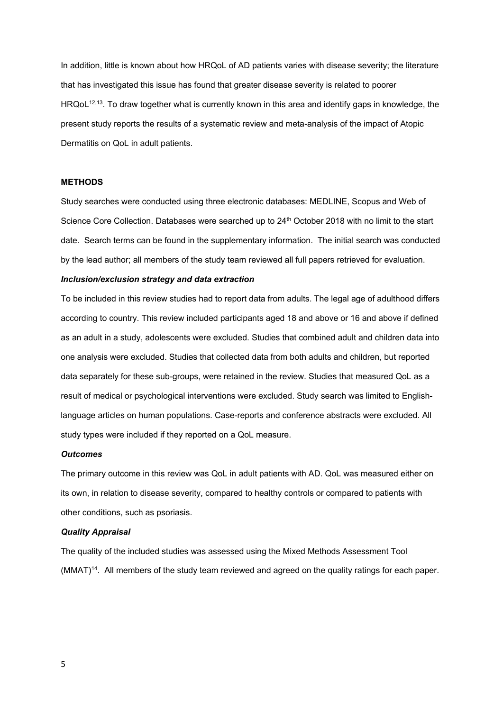In addition, little is known about how HRQoL of AD patients varies with disease severity; the literature that has investigated this issue has found that greater disease severity is related to poorer HRQoL<sup>12,13</sup>. To draw together what is currently known in this area and identify gaps in knowledge, the present study reports the results of a systematic review and meta-analysis of the impact of Atopic Dermatitis on QoL in adult patients.

## **METHODS**

Study searches were conducted using three electronic databases: MEDLINE, Scopus and Web of Science Core Collection. Databases were searched up to 24<sup>th</sup> October 2018 with no limit to the start date. Search terms can be found in the supplementary information. The initial search was conducted by the lead author; all members of the study team reviewed all full papers retrieved for evaluation.

#### *Inclusion/exclusion strategy and data extraction*

To be included in this review studies had to report data from adults. The legal age of adulthood differs according to country. This review included participants aged 18 and above or 16 and above if defined as an adult in a study, adolescents were excluded. Studies that combined adult and children data into one analysis were excluded. Studies that collected data from both adults and children, but reported data separately for these sub-groups, were retained in the review. Studies that measured QoL as a result of medical or psychological interventions were excluded. Study search was limited to Englishlanguage articles on human populations. Case-reports and conference abstracts were excluded. All study types were included if they reported on a QoL measure.

#### *Outcomes*

The primary outcome in this review was QoL in adult patients with AD. QoL was measured either on its own, in relation to disease severity, compared to healthy controls or compared to patients with other conditions, such as psoriasis.

#### *Quality Appraisal*

The quality of the included studies was assessed using the Mixed Methods Assessment Tool  $(MMAT)^{14}$ . All members of the study team reviewed and agreed on the quality ratings for each paper.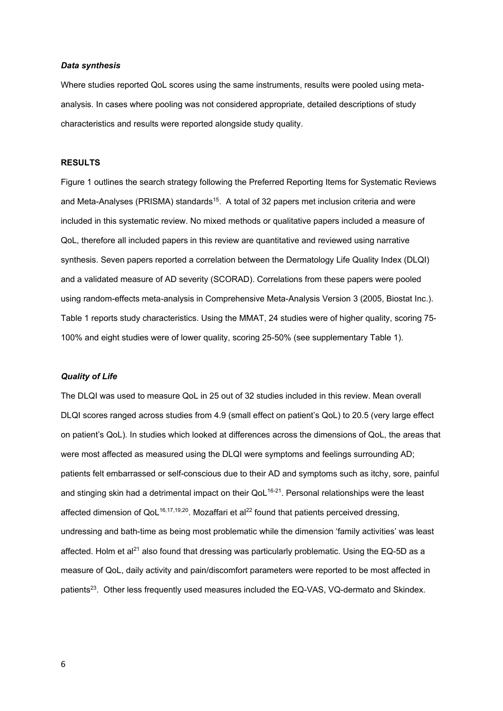## *Data synthesis*

Where studies reported QoL scores using the same instruments, results were pooled using metaanalysis. In cases where pooling was not considered appropriate, detailed descriptions of study characteristics and results were reported alongside study quality.

## **RESULTS**

Figure 1 outlines the search strategy following the Preferred Reporting Items for Systematic Reviews and Meta-Analyses (PRISMA) standards<sup>15</sup>. A total of 32 papers met inclusion criteria and were included in this systematic review. No mixed methods or qualitative papers included a measure of QoL, therefore all included papers in this review are quantitative and reviewed using narrative synthesis. Seven papers reported a correlation between the Dermatology Life Quality Index (DLQI) and a validated measure of AD severity (SCORAD). Correlations from these papers were pooled using random-effects meta-analysis in Comprehensive Meta-Analysis Version 3 (2005, Biostat Inc.). Table 1 reports study characteristics. Using the MMAT, 24 studies were of higher quality, scoring 75- 100% and eight studies were of lower quality, scoring 25-50% (see supplementary Table 1).

## *Quality of Life*

The DLQI was used to measure QoL in 25 out of 32 studies included in this review. Mean overall DLQI scores ranged across studies from 4.9 (small effect on patient's QoL) to 20.5 (very large effect on patient's QoL). In studies which looked at differences across the dimensions of QoL, the areas that were most affected as measured using the DLQI were symptoms and feelings surrounding AD; patients felt embarrassed or self-conscious due to their AD and symptoms such as itchy, sore, painful and stinging skin had a detrimental impact on their QoL<sup>16-21</sup>. Personal relationships were the least affected dimension of QoL<sup>16,17,19,20</sup>. Mozaffari et al<sup>22</sup> found that patients perceived dressing, undressing and bath-time as being most problematic while the dimension 'family activities' was least affected. Holm et al<sup>21</sup> also found that dressing was particularly problematic. Using the EQ-5D as a measure of QoL, daily activity and pain/discomfort parameters were reported to be most affected in patients<sup>23</sup>. Other less frequently used measures included the EQ-VAS, VQ-dermato and Skindex.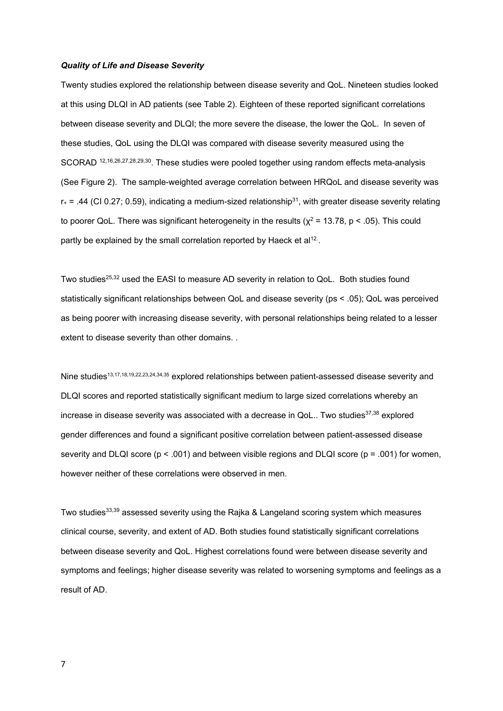#### *Quality of Life and Disease Severity*

Twenty studies explored the relationship between disease severity and QoL. Nineteen studies looked at this using DLQI in AD patients (see Table 2). Eighteen of these reported significant correlations between disease severity and DLQI; the more severe the disease, the lower the QoL. In seven of these studies, QoL using the DLQI was compared with disease severity measured using the SCORAD<sup>12,16,26,27,28,29,30</sup>. These studies were pooled together using random effects meta-analysis (See Figure 2). The sample-weighted average correlation between HRQoL and disease severity was  $r_+$  = .44 (CI 0.27; 0.59), indicating a medium-sized relationship<sup>31</sup>, with greater disease severity relating to poorer QoL. There was significant heterogeneity in the results ( $\chi^2$  = 13.78, p < .05). This could partly be explained by the small correlation reported by Haeck et al<sup>12.</sup>.

Two studies<sup>25,32</sup> used the EASI to measure AD severity in relation to QoL. Both studies found statistically significant relationships between QoL and disease severity (ps < .05); QoL was perceived as being poorer with increasing disease severity, with personal relationships being related to a lesser extent to disease severity than other domains. .

Nine studies<sup>13,17,18,19,22,23,24,34,35</sup> explored relationships between patient-assessed disease severity and DLQI scores and reported statistically significant medium to large sized correlations whereby an increase in disease severity was associated with a decrease in QoL.. Two studies  $37,38$  explored gender differences and found a significant positive correlation between patient-assessed disease severity and DLQI score ( $p < .001$ ) and between visible regions and DLQI score ( $p = .001$ ) for women, however neither of these correlations were observed in men.

Two studies<sup>33,39</sup> assessed severity using the Rajka & Langeland scoring system which measures clinical course, severity, and extent of AD. Both studies found statistically significant correlations between disease severity and QoL. Highest correlations found were between disease severity and symptoms and feelings; higher disease severity was related to worsening symptoms and feelings as a result of AD.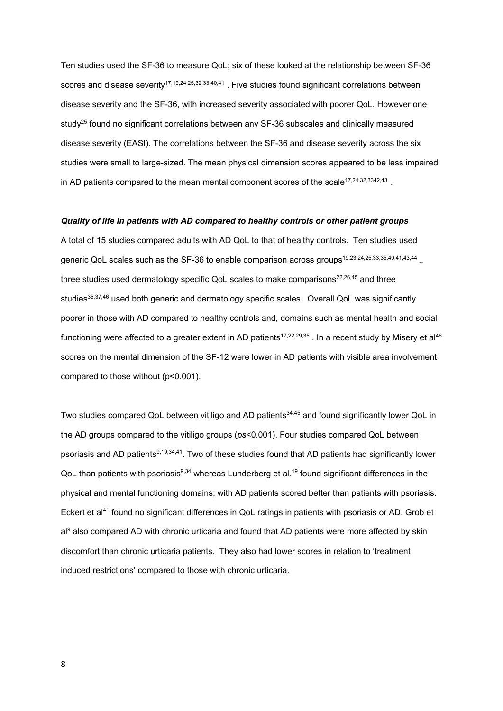Ten studies used the SF-36 to measure QoL; six of these looked at the relationship between SF-36 scores and disease severity<sup>17,19,24,25,32,33,40,41</sup>. Five studies found significant correlations between disease severity and the SF-36, with increased severity associated with poorer QoL. However one study<sup>25</sup> found no significant correlations between any SF-36 subscales and clinically measured disease severity (EASI). The correlations between the SF-36 and disease severity across the six studies were small to large-sized. The mean physical dimension scores appeared to be less impaired in AD patients compared to the mean mental component scores of the scale<sup>17,24,32,3342,43</sup>.

#### *Quality of life in patients with AD compared to healthy controls or other patient groups*

A total of 15 studies compared adults with AD QoL to that of healthy controls. Ten studies used generic QoL scales such as the SF-36 to enable comparison across groups<sup>19,23,24,25,33,35,40,41,43,44</sup>.. three studies used dermatology specific QoL scales to make comparisons $22,26,45$  and three studies<sup>35,37,46</sup> used both generic and dermatology specific scales. Overall QoL was significantly poorer in those with AD compared to healthy controls and, domains such as mental health and social functioning were affected to a greater extent in AD patients<sup>17,22,29,35</sup>. In a recent study by Miserv et al<sup>46</sup> scores on the mental dimension of the SF-12 were lower in AD patients with visible area involvement compared to those without (p<0.001).

Two studies compared QoL between vitiligo and AD patients<sup>34,45</sup> and found significantly lower QoL in the AD groups compared to the vitiligo groups (*ps*<0.001). Four studies compared QoL between psoriasis and AD patients<sup>9,19,34,41</sup>. Two of these studies found that AD patients had significantly lower QoL than patients with psoriasis<sup>9,34</sup> whereas Lunderberg et al.<sup>19</sup> found significant differences in the physical and mental functioning domains; with AD patients scored better than patients with psoriasis. Eckert et al<sup>41</sup> found no significant differences in QoL ratings in patients with psoriasis or AD. Grob et al<sup>9</sup> also compared AD with chronic urticaria and found that AD patients were more affected by skin discomfort than chronic urticaria patients. They also had lower scores in relation to 'treatment induced restrictions' compared to those with chronic urticaria.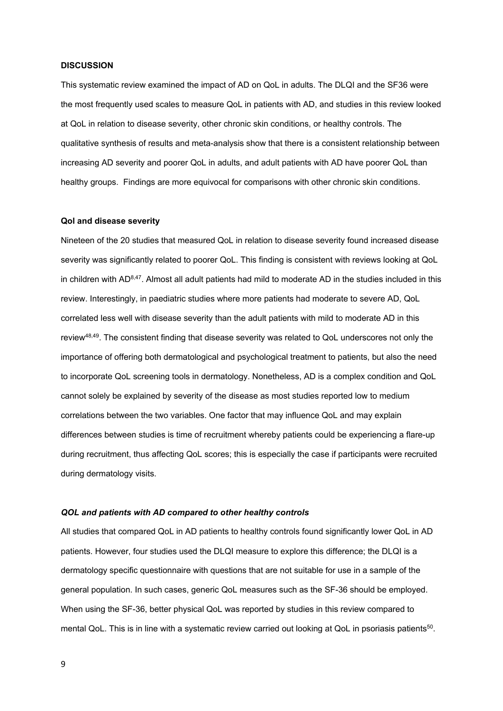## **DISCUSSION**

This systematic review examined the impact of AD on QoL in adults. The DLQI and the SF36 were the most frequently used scales to measure QoL in patients with AD, and studies in this review looked at QoL in relation to disease severity, other chronic skin conditions, or healthy controls. The qualitative synthesis of results and meta-analysis show that there is a consistent relationship between increasing AD severity and poorer QoL in adults, and adult patients with AD have poorer QoL than healthy groups. Findings are more equivocal for comparisons with other chronic skin conditions.

#### **Qol and disease severity**

Nineteen of the 20 studies that measured QoL in relation to disease severity found increased disease severity was significantly related to poorer QoL. This finding is consistent with reviews looking at QoL in children with AD8,47. Almost all adult patients had mild to moderate AD in the studies included in this review. Interestingly, in paediatric studies where more patients had moderate to severe AD, QoL correlated less well with disease severity than the adult patients with mild to moderate AD in this review48,49. The consistent finding that disease severity was related to QoL underscores not only the importance of offering both dermatological and psychological treatment to patients, but also the need to incorporate QoL screening tools in dermatology. Nonetheless, AD is a complex condition and QoL cannot solely be explained by severity of the disease as most studies reported low to medium correlations between the two variables. One factor that may influence QoL and may explain differences between studies is time of recruitment whereby patients could be experiencing a flare-up during recruitment, thus affecting QoL scores; this is especially the case if participants were recruited during dermatology visits.

## *QOL and patients with AD compared to other healthy controls*

All studies that compared QoL in AD patients to healthy controls found significantly lower QoL in AD patients. However, four studies used the DLQI measure to explore this difference; the DLQI is a dermatology specific questionnaire with questions that are not suitable for use in a sample of the general population. In such cases, generic QoL measures such as the SF-36 should be employed. When using the SF-36, better physical QoL was reported by studies in this review compared to mental QoL. This is in line with a systematic review carried out looking at QoL in psoriasis patients<sup>50</sup>.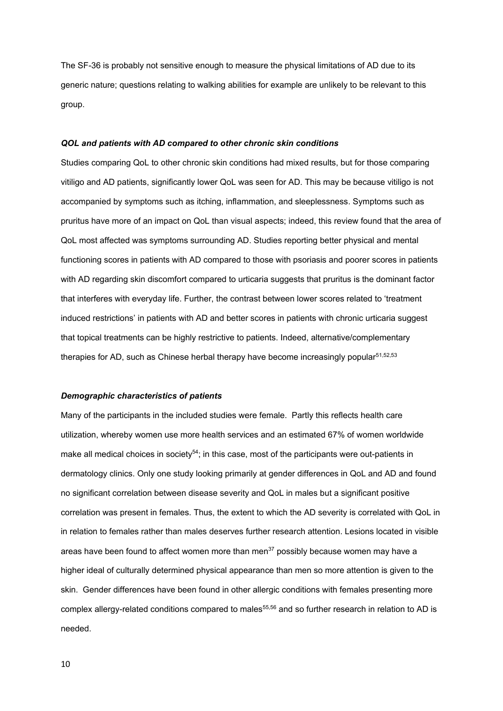The SF-36 is probably not sensitive enough to measure the physical limitations of AD due to its generic nature; questions relating to walking abilities for example are unlikely to be relevant to this group.

## *QOL and patients with AD compared to other chronic skin conditions*

Studies comparing QoL to other chronic skin conditions had mixed results, but for those comparing vitiligo and AD patients, significantly lower QoL was seen for AD. This may be because vitiligo is not accompanied by symptoms such as itching, inflammation, and sleeplessness. Symptoms such as pruritus have more of an impact on QoL than visual aspects; indeed, this review found that the area of QoL most affected was symptoms surrounding AD. Studies reporting better physical and mental functioning scores in patients with AD compared to those with psoriasis and poorer scores in patients with AD regarding skin discomfort compared to urticaria suggests that pruritus is the dominant factor that interferes with everyday life. Further, the contrast between lower scores related to 'treatment induced restrictions' in patients with AD and better scores in patients with chronic urticaria suggest that topical treatments can be highly restrictive to patients. Indeed, alternative/complementary therapies for AD, such as Chinese herbal therapy have become increasingly popular<sup>51,52,53</sup>

#### *Demographic characteristics of patients*

Many of the participants in the included studies were female. Partly this reflects health care utilization, whereby women use more health services and an estimated 67% of women worldwide make all medical choices in society<sup>54</sup>; in this case, most of the participants were out-patients in dermatology clinics. Only one study looking primarily at gender differences in QoL and AD and found no significant correlation between disease severity and QoL in males but a significant positive correlation was present in females. Thus, the extent to which the AD severity is correlated with QoL in in relation to females rather than males deserves further research attention. Lesions located in visible areas have been found to affect women more than men $37$  possibly because women may have a higher ideal of culturally determined physical appearance than men so more attention is given to the skin. Gender differences have been found in other allergic conditions with females presenting more complex allergy-related conditions compared to males<sup>55,56</sup> and so further research in relation to AD is needed.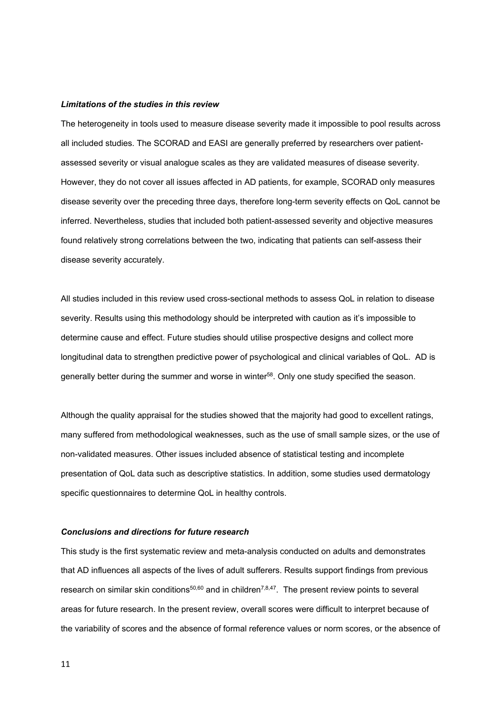#### *Limitations of the studies in this review*

The heterogeneity in tools used to measure disease severity made it impossible to pool results across all included studies. The SCORAD and EASI are generally preferred by researchers over patientassessed severity or visual analogue scales as they are validated measures of disease severity. However, they do not cover all issues affected in AD patients, for example, SCORAD only measures disease severity over the preceding three days, therefore long-term severity effects on QoL cannot be inferred. Nevertheless, studies that included both patient-assessed severity and objective measures found relatively strong correlations between the two, indicating that patients can self-assess their disease severity accurately.

All studies included in this review used cross-sectional methods to assess QoL in relation to disease severity. Results using this methodology should be interpreted with caution as it's impossible to determine cause and effect. Future studies should utilise prospective designs and collect more longitudinal data to strengthen predictive power of psychological and clinical variables of QoL. AD is generally better during the summer and worse in winter<sup>58</sup>. Only one study specified the season.

Although the quality appraisal for the studies showed that the majority had good to excellent ratings, many suffered from methodological weaknesses, such as the use of small sample sizes, or the use of non-validated measures. Other issues included absence of statistical testing and incomplete presentation of QoL data such as descriptive statistics. In addition, some studies used dermatology specific questionnaires to determine QoL in healthy controls.

## *Conclusions and directions for future research*

This study is the first systematic review and meta-analysis conducted on adults and demonstrates that AD influences all aspects of the lives of adult sufferers. Results support findings from previous research on similar skin conditions<sup>50,60</sup> and in children<sup>7,8,47</sup>. The present review points to several areas for future research. In the present review, overall scores were difficult to interpret because of the variability of scores and the absence of formal reference values or norm scores, or the absence of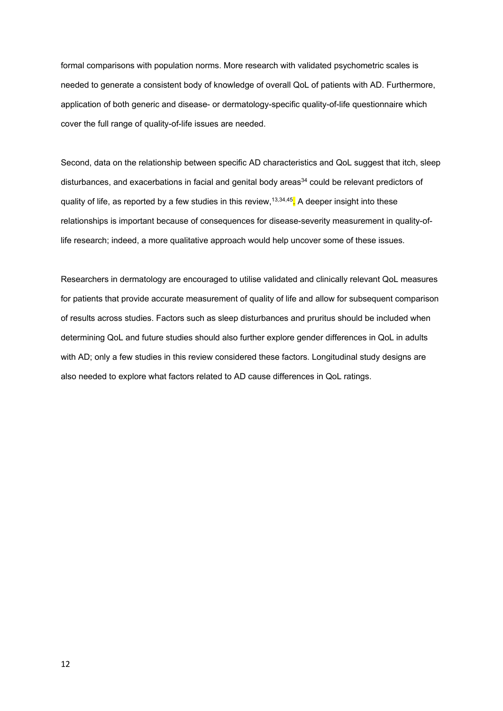formal comparisons with population norms. More research with validated psychometric scales is needed to generate a consistent body of knowledge of overall QoL of patients with AD. Furthermore, application of both generic and disease- or dermatology-specific quality-of-life questionnaire which cover the full range of quality-of-life issues are needed.

Second, data on the relationship between specific AD characteristics and QoL suggest that itch, sleep disturbances, and exacerbations in facial and genital body areas<sup>34</sup> could be relevant predictors of quality of life, as reported by a few studies in this review,  $13,34,45$ . A deeper insight into these relationships is important because of consequences for disease-severity measurement in quality-oflife research; indeed, a more qualitative approach would help uncover some of these issues.

Researchers in dermatology are encouraged to utilise validated and clinically relevant QoL measures for patients that provide accurate measurement of quality of life and allow for subsequent comparison of results across studies. Factors such as sleep disturbances and pruritus should be included when determining QoL and future studies should also further explore gender differences in QoL in adults with AD; only a few studies in this review considered these factors. Longitudinal study designs are also needed to explore what factors related to AD cause differences in QoL ratings.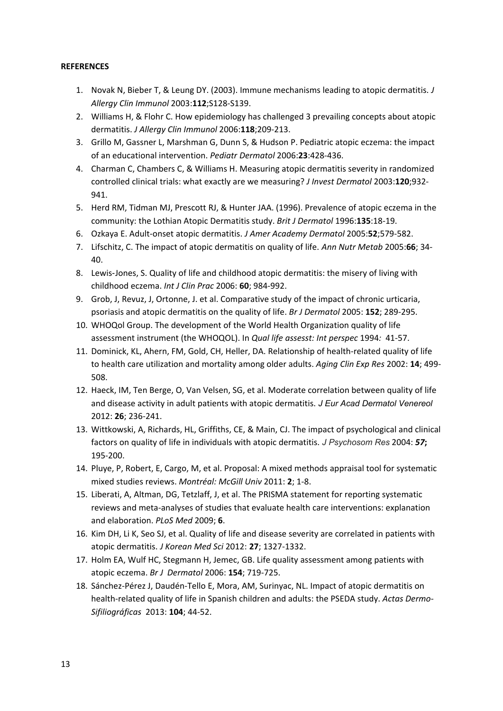## **REFERENCES**

- 1. Novak N, Bieber T, & Leung DY. (2003). Immune mechanisms leading to atopic dermatitis. *J Allergy Clin Immunol* 2003:**112**;S128‐S139.
- 2. Williams H, & Flohr C. How epidemiology has challenged 3 prevailing concepts about atopic dermatitis. *J Allergy Clin Immunol* 2006:**118**;209‐213.
- 3. Grillo M, Gassner L, Marshman G, Dunn S, & Hudson P. Pediatric atopic eczema: the impact of an educational intervention. *Pediatr Dermatol* 2006:**23**:428‐436.
- 4. Charman C, Chambers C, & Williams H. Measuring atopic dermatitis severity in randomized controlled clinical trials: what exactly are we measuring? *J Invest Dermatol* 2003:**120**;932‐ 941.
- 5. Herd RM, Tidman MJ, Prescott RJ, & Hunter JAA. (1996). Prevalence of atopic eczema in the community: the Lothian Atopic Dermatitis study. *Brit J Dermatol* 1996:**135**:18‐19.
- 6. Ozkaya E. Adult‐onset atopic dermatitis. *J Amer Academy Dermatol* 2005:**52**;579‐582.
- 7. Lifschitz, C. The impact of atopic dermatitis on quality of life. *Ann Nutr Metab* 2005:**66**; 34‐ 40.
- 8. Lewis-Jones, S. Quality of life and childhood atopic dermatitis: the misery of living with childhood eczema. *Int J Clin Prac* 2006: **60**; 984‐992.
- 9. Grob, J, Revuz, J, Ortonne, J. et al. Comparative study of the impact of chronic urticaria, psoriasis and atopic dermatitis on the quality of life. *Br J Dermatol* 2005: **152**; 289‐295.
- 10. WHOQol Group. The development of the World Health Organization quality of life assessment instrument (the WHOQOL). In *Qual life assesst: Int perspec* 1994*:* 41‐57.
- 11. Dominick, KL, Ahern, FM, Gold, CH, Heller, DA. Relationship of health-related quality of life to health care utilization and mortality among older adults. *Aging Clin Exp Res* 2002: **14**; 499‐ 508.
- 12. Haeck, IM, Ten Berge, O, Van Velsen, SG, et al. Moderate correlation between quality of life and disease activity in adult patients with atopic dermatitis. *J Eur Acad Dermatol Venereol* 2012: **26**; 236‐241.
- 13. Wittkowski, A, Richards, HL, Griffiths, CE, & Main, CJ. The impact of psychological and clinical factors on quality of life in individuals with atopic dermatitis. *J Psychosom Res* 2004: *57***;** 195‐200.
- 14. Pluye, P, Robert, E, Cargo, M, et al. Proposal: A mixed methods appraisal tool for systematic mixed studies reviews. *Montréal: McGill Univ* 2011: **2**; 1‐8.
- 15. Liberati, A, Altman, DG, Tetzlaff, J, et al. The PRISMA statement for reporting systematic reviews and meta‐analyses of studies that evaluate health care interventions: explanation and elaboration. *PLoS Med* 2009; **6**.
- 16. Kim DH, Li K, Seo SJ, et al. Quality of life and disease severity are correlated in patients with atopic dermatitis. *J Korean Med Sci* 2012: **27**; 1327‐1332.
- 17. Holm EA, Wulf HC, Stegmann H, Jemec, GB. Life quality assessment among patients with atopic eczema. *Br J Dermatol* 2006: **154**; 719‐725.
- 18. Sánchez‐Pérez J, Daudén‐Tello E, Mora, AM, Surinyac, NL. Impact of atopic dermatitis on health‐related quality of life in Spanish children and adults: the PSEDA study. *Actas Dermo‐ Sifiliográficas* 2013: **104**; 44‐52.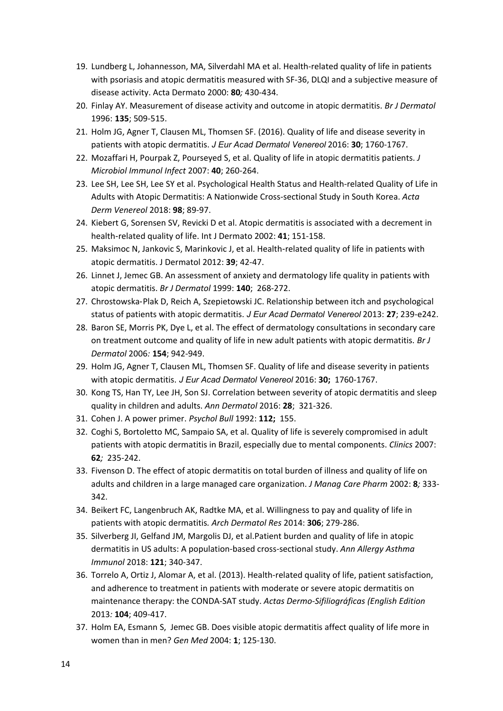- 19. Lundberg L, Johannesson, MA, Silverdahl MA et al. Health‐related quality of life in patients with psoriasis and atopic dermatitis measured with SF‐36, DLQI and a subjective measure of disease activity. Acta Dermato 2000: **80***;* 430‐434.
- 20. Finlay AY. Measurement of disease activity and outcome in atopic dermatitis. *Br J Dermatol* 1996: **135**; 509‐515.
- 21. Holm JG, Agner T, Clausen ML, Thomsen SF. (2016). Quality of life and disease severity in patients with atopic dermatitis. *J Eur Acad Dermatol Venereol* 2016: **30**; 1760‐1767.
- 22. Mozaffari H, Pourpak Z, Pourseyed S, et al. Quality of life in atopic dermatitis patients. *J Microbiol Immunol Infect* 2007: **40**; 260‐264.
- 23. Lee SH, Lee SH, Lee SY et al. Psychological Health Status and Health-related Quality of Life in Adults with Atopic Dermatitis: A Nationwide Cross‐sectional Study in South Korea. *Acta Derm Venereol* 2018: **98**; 89‐97.
- 24. Kiebert G, Sorensen SV, Revicki D et al. Atopic dermatitis is associated with a decrement in health-related quality of life. Int J Dermato 2002: **41**; 151‐158.
- 25. Maksimoc N, Jankovic S, Marinkovic J, et al. Health-related quality of life in patients with atopic dermatitis. J Dermatol 2012: **39**; 42‐47.
- 26. Linnet J, Jemec GB. An assessment of anxiety and dermatology life quality in patients with atopic dermatitis. *Br J Dermatol* 1999: **140**; 268‐272.
- 27. Chrostowska-Plak D, Reich A, Szepietowski JC. Relationship between itch and psychological status of patients with atopic dermatitis. *J Eur Acad Dermatol Venereol* 2013: **27**; 239‐e242.
- 28. Baron SE, Morris PK, Dye L, et al. The effect of dermatology consultations in secondary care on treatment outcome and quality of life in new adult patients with atopic dermatitis. *Br J Dermatol* 2006*:* **154**; 942‐949.
- 29. Holm JG, Agner T, Clausen ML, Thomsen SF. Quality of life and disease severity in patients with atopic dermatitis. *J Eur Acad Dermatol Venereol* 2016: **30;** 1760‐1767.
- 30. Kong TS, Han TY, Lee JH, Son SJ. Correlation between severity of atopic dermatitis and sleep quality in children and adults. *Ann Dermatol* 2016: **28**; 321‐326.
- 31. Cohen J. A power primer. *Psychol Bull* 1992: **112;** 155.
- 32. Coghi S, Bortoletto MC, Sampaio SA, et al. Quality of life is severely compromised in adult patients with atopic dermatitis in Brazil, especially due to mental components. *Clinics* 2007: **62***;* 235‐242.
- 33. Fivenson D. The effect of atopic dermatitis on total burden of illness and quality of life on adults and children in a large managed care organization. *J Manag Care Pharm* 2002: **8***;* 333‐ 342.
- 34. Beikert FC, Langenbruch AK, Radtke MA, et al. Willingness to pay and quality of life in patients with atopic dermatitis*. Arch Dermatol Res* 2014: **306**; 279‐286.
- 35. Silverberg JI, Gelfand JM, Margolis DJ, et al.Patient burden and quality of life in atopic dermatitis in US adults: A population‐based cross‐sectional study. *Ann Allergy Asthma Immunol* 2018: **121**; 340‐347.
- 36. Torrelo A, Ortiz J, Alomar A, et al. (2013). Health‐related quality of life, patient satisfaction, and adherence to treatment in patients with moderate or severe atopic dermatitis on maintenance therapy: the CONDA‐SAT study. *Actas Dermo‐Sifiliográficas (English Edition* 2013*:* **104**; 409‐417.
- 37. Holm EA, Esmann S, Jemec GB. Does visible atopic dermatitis affect quality of life more in women than in men? *Gen Med* 2004: **1**; 125‐130.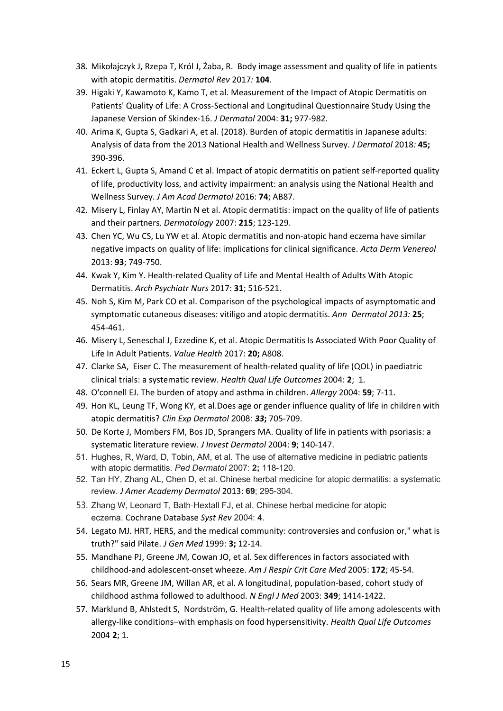- 38. Mikołajczyk J, Rzepa T, Król J, Żaba, R. Body image assessment and quality of life in patients with atopic dermatitis. *Dermatol Rev* 2017*:* **104**.
- 39. Higaki Y, Kawamoto K, Kamo T, et al. Measurement of the Impact of Atopic Dermatitis on Patients' Quality of Life: A Cross-Sectional and Longitudinal Questionnaire Study Using the Japanese Version of Skindex-16. *J Dermatol* 2004: **31;** 977‐982.
- 40. Arima K, Gupta S, Gadkari A, et al. (2018). Burden of atopic dermatitis in Japanese adults: Analysis of data from the 2013 National Health and Wellness Survey. *J Dermatol* 2018*:* **45;** 390‐396.
- 41. Eckert L, Gupta S, Amand C et al. Impact of atopic dermatitis on patient self-reported quality of life, productivity loss, and activity impairment: an analysis using the National Health and Wellness Survey. *J Am Acad Dermatol* 2016: **74**; AB87.
- 42. Misery L, Finlay AY, Martin N et al. Atopic dermatitis: impact on the quality of life of patients and their partners. *Dermatology* 2007: **215**; 123‐129.
- 43. Chen YC, Wu CS, Lu YW et al. Atopic dermatitis and non‐atopic hand eczema have similar negative impacts on quality of life: implications for clinical significance. *Acta Derm Venereol* 2013: **93**; 749‐750.
- 44. Kwak Y, Kim Y. Health‐related Quality of Life and Mental Health of Adults With Atopic Dermatitis. *Arch Psychiatr Nurs* 2017: **31**; 516‐521.
- 45. Noh S, Kim M, Park CO et al. Comparison of the psychological impacts of asymptomatic and symptomatic cutaneous diseases: vitiligo and atopic dermatitis. *Ann Dermatol 2013:* **25**; 454‐461.
- 46. Misery L, Seneschal J, Ezzedine K, et al. Atopic Dermatitis Is Associated With Poor Quality of Life In Adult Patients. *Value Health* 2017: **20;** A808.
- 47. Clarke SA, Eiser C. The measurement of health-related quality of life (QOL) in paediatric clinical trials: a systematic review. *Health Qual Life Outcomes* 2004: **2**; 1.
- 48. O'connell EJ. The burden of atopy and asthma in children. *Allergy* 2004: **59**; 7‐11.
- 49. Hon KL, Leung TF, Wong KY, et al.Does age or gender influence quality of life in children with atopic dermatitis? *Clin Exp Dermatol* 2008: *33***;** 705‐709.
- 50. De Korte J, Mombers FM, Bos JD, Sprangers MA. Quality of life in patients with psoriasis: a systematic literature review. *J Invest Dermatol* 2004: **9**; 140‐147.
- 51. Hughes, R, Ward, D, Tobin, AM, et al. The use of alternative medicine in pediatric patients with atopic dermatitis. *Ped Dermatol* 2007: **2;** 118-120.
- 52. Tan HY, Zhang AL, Chen D, et al. Chinese herbal medicine for atopic dermatitis: a systematic review. *J Amer Academy Dermatol* 2013: **69**; 295-304.
- 53. Zhang W, Leonard T, Bath-Hextall FJ, et al. Chinese herbal medicine for atopic eczema. Cochrane Database *Syst Rev* 2004: **4**.
- 54. Legato MJ. HRT, HERS, and the medical community: controversies and confusion or," what is truth?" said Pilate. *J Gen Med* 1999: **3;** 12‐14.
- 55. Mandhane PJ, Greene JM, Cowan JO, et al. Sex differences in factors associated with childhood‐and adolescent‐onset wheeze. *Am J Respir Crit Care Med* 2005: **172**; 45‐54.
- 56. Sears MR, Greene JM, Willan AR, et al. A longitudinal, population‐based, cohort study of childhood asthma followed to adulthood. *N Engl J Med* 2003: **349**; 1414‐1422.
- 57. Marklund B, Ahlstedt S, Nordström, G. Health‐related quality of life among adolescents with allergy‐like conditions–with emphasis on food hypersensitivity. *Health Qual Life Outcomes* 2004 **2**; 1.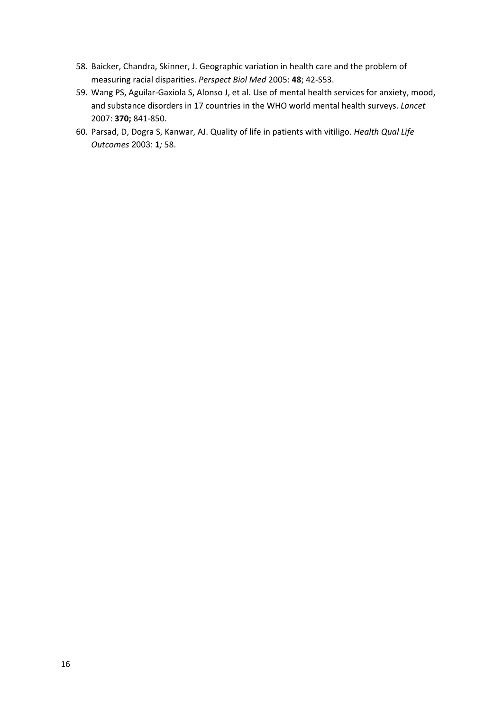- 58. Baicker, Chandra, Skinner, J. Geographic variation in health care and the problem of measuring racial disparities. *Perspect Biol Med* 2005: **48**; 42‐S53.
- 59. Wang PS, Aguilar‐Gaxiola S, Alonso J, et al. Use of mental health services for anxiety, mood, and substance disorders in 17 countries in the WHO world mental health surveys. *Lancet* 2007: **370;** 841‐850.
- 60. Parsad, D, Dogra S, Kanwar, AJ. Quality of life in patients with vitiligo. *Health Qual Life Outcomes* 2003: **1***;* 58.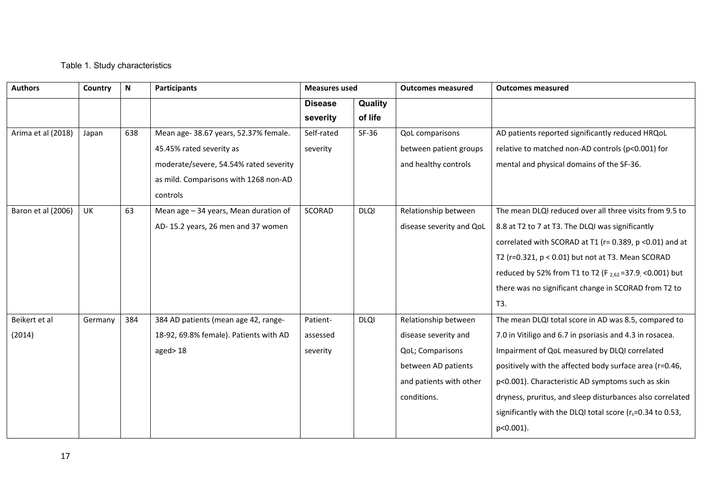# Table 1. Study characteristics

| <b>Authors</b>     | Country | N   | <b>Participants</b>                    | <b>Measures used</b> |             | <b>Outcomes measured</b> | <b>Outcomes measured</b>                                           |
|--------------------|---------|-----|----------------------------------------|----------------------|-------------|--------------------------|--------------------------------------------------------------------|
|                    |         |     |                                        | <b>Disease</b>       | Quality     |                          |                                                                    |
|                    |         |     |                                        | severity             | of life     |                          |                                                                    |
| Arima et al (2018) | Japan   | 638 | Mean age- 38.67 years, 52.37% female.  | Self-rated           | $SF-36$     | QoL comparisons          | AD patients reported significantly reduced HRQoL                   |
|                    |         |     | 45.45% rated severity as               | severity             |             | between patient groups   | relative to matched non-AD controls (p<0.001) for                  |
|                    |         |     | moderate/severe, 54.54% rated severity |                      |             | and healthy controls     | mental and physical domains of the SF-36.                          |
|                    |         |     | as mild. Comparisons with 1268 non-AD  |                      |             |                          |                                                                    |
|                    |         |     | controls                               |                      |             |                          |                                                                    |
| Baron et al (2006) | UK      | 63  | Mean age $-34$ years, Mean duration of | SCORAD               | <b>DLQI</b> | Relationship between     | The mean DLQI reduced over all three visits from 9.5 to            |
|                    |         |     | AD-15.2 years, 26 men and 37 women     |                      |             | disease severity and QoL | 8.8 at T2 to 7 at T3. The DLQI was significantly                   |
|                    |         |     |                                        |                      |             |                          | correlated with SCORAD at T1 (r=0.389, p <0.01) and at             |
|                    |         |     |                                        |                      |             |                          | T2 (r=0.321, p < 0.01) but not at T3. Mean SCORAD                  |
|                    |         |     |                                        |                      |             |                          | reduced by 52% from T1 to T2 (F <sub>2,62</sub> =37.9, <0.001) but |
|                    |         |     |                                        |                      |             |                          | there was no significant change in SCORAD from T2 to               |
|                    |         |     |                                        |                      |             |                          | T3.                                                                |
| Beikert et al      | Germany | 384 | 384 AD patients (mean age 42, range-   | Patient-             | <b>DLQI</b> | Relationship between     | The mean DLQI total score in AD was 8.5, compared to               |
| (2014)             |         |     | 18-92, 69.8% female). Patients with AD | assessed             |             | disease severity and     | 7.0 in Vitiligo and 6.7 in psoriasis and 4.3 in rosacea.           |
|                    |         |     | aged>18                                | severity             |             | QoL; Comparisons         | Impairment of QoL measured by DLQI correlated                      |
|                    |         |     |                                        |                      |             | between AD patients      | positively with the affected body surface area (r=0.46,            |
|                    |         |     |                                        |                      |             | and patients with other  | p<0.001). Characteristic AD symptoms such as skin                  |
|                    |         |     |                                        |                      |             | conditions.              | dryness, pruritus, and sleep disturbances also correlated          |
|                    |         |     |                                        |                      |             |                          | significantly with the DLQI total score (rs=0.34 to 0.53,          |
|                    |         |     |                                        |                      |             |                          | p<0.001).                                                          |
|                    |         |     |                                        |                      |             |                          |                                                                    |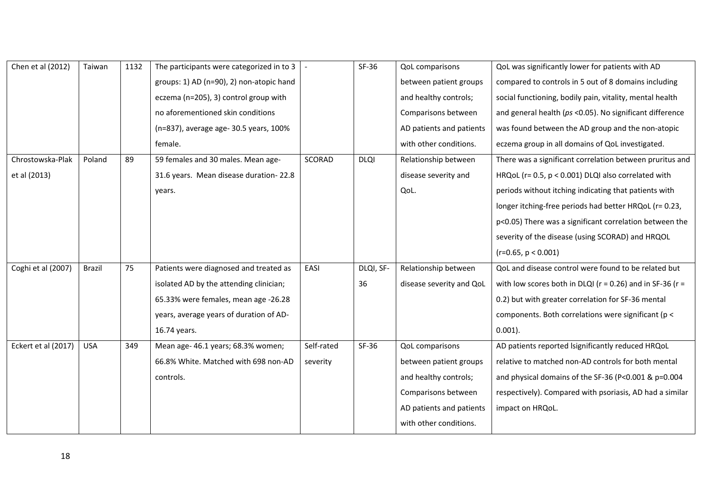| Chen et al (2012)   | Taiwan     | 1132 | The participants were categorized in to 3 |            | SF-36       | QoL comparisons          | QoL was significantly lower for patients with AD                 |
|---------------------|------------|------|-------------------------------------------|------------|-------------|--------------------------|------------------------------------------------------------------|
|                     |            |      | groups: 1) AD (n=90), 2) non-atopic hand  |            |             | between patient groups   | compared to controls in 5 out of 8 domains including             |
|                     |            |      | eczema (n=205), 3) control group with     |            |             | and healthy controls;    | social functioning, bodily pain, vitality, mental health         |
|                     |            |      | no aforementioned skin conditions         |            |             | Comparisons between      | and general health ( $ps$ < 0.05). No significant difference     |
|                     |            |      | (n=837), average age- 30.5 years, 100%    |            |             | AD patients and patients | was found between the AD group and the non-atopic                |
|                     |            |      | female.                                   |            |             | with other conditions.   | eczema group in all domains of QoL investigated.                 |
| Chrostowska-Plak    | Poland     | 89   | 59 females and 30 males. Mean age-        | SCORAD     | <b>DLQI</b> | Relationship between     | There was a significant correlation between pruritus and         |
| et al (2013)        |            |      | 31.6 years. Mean disease duration-22.8    |            |             | disease severity and     | HRQoL (r= 0.5, p < 0.001) DLQI also correlated with              |
|                     |            |      | years.                                    |            |             | QoL.                     | periods without itching indicating that patients with            |
|                     |            |      |                                           |            |             |                          | longer itching-free periods had better HRQoL (r= 0.23,           |
|                     |            |      |                                           |            |             |                          | p<0.05) There was a significant correlation between the          |
|                     |            |      |                                           |            |             |                          | severity of the disease (using SCORAD) and HRQOL                 |
|                     |            |      |                                           |            |             |                          | $(r=0.65, p < 0.001)$                                            |
| Coghi et al (2007)  | Brazil     | 75   | Patients were diagnosed and treated as    | EASI       | DLQI, SF-   | Relationship between     | QoL and disease control were found to be related but             |
|                     |            |      | isolated AD by the attending clinician;   |            | 36          | disease severity and QoL | with low scores both in DLQI ( $r = 0.26$ ) and in SF-36 ( $r =$ |
|                     |            |      | 65.33% were females, mean age -26.28      |            |             |                          | 0.2) but with greater correlation for SF-36 mental               |
|                     |            |      | years, average years of duration of AD-   |            |             |                          | components. Both correlations were significant (p <              |
|                     |            |      | 16.74 years.                              |            |             |                          | $0.001$ ).                                                       |
| Eckert et al (2017) | <b>USA</b> | 349  | Mean age- 46.1 years; 68.3% women;        | Self-rated | $SF-36$     | QoL comparisons          | AD patients reported Isignificantly reduced HRQoL                |
|                     |            |      | 66.8% White. Matched with 698 non-AD      | severity   |             | between patient groups   | relative to matched non-AD controls for both mental              |
|                     |            |      | controls.                                 |            |             | and healthy controls;    | and physical domains of the SF-36 (P<0.001 & p=0.004             |
|                     |            |      |                                           |            |             | Comparisons between      | respectively). Compared with psoriasis, AD had a similar         |
|                     |            |      |                                           |            |             | AD patients and patients | impact on HRQoL.                                                 |
|                     |            |      |                                           |            |             | with other conditions.   |                                                                  |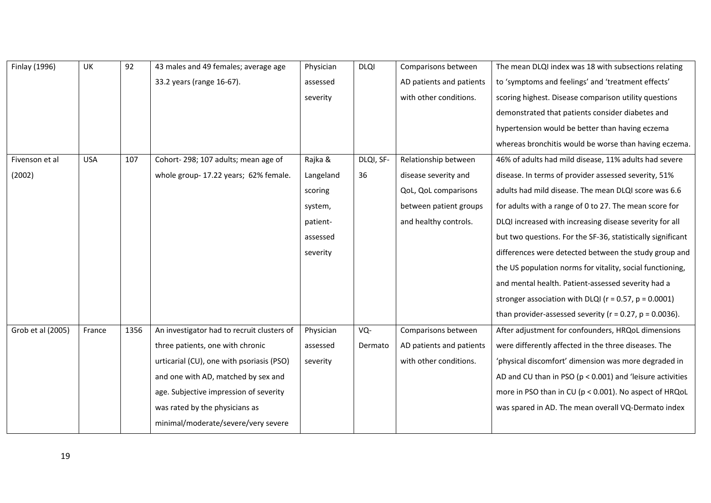| Finlay (1996)     | UK         | 92   | 43 males and 49 females; average age       | Physician | <b>DLQI</b> | Comparisons between      | The mean DLQI index was 18 with subsections relating           |
|-------------------|------------|------|--------------------------------------------|-----------|-------------|--------------------------|----------------------------------------------------------------|
|                   |            |      | 33.2 years (range 16-67).                  | assessed  |             | AD patients and patients | to 'symptoms and feelings' and 'treatment effects'             |
|                   |            |      |                                            | severity  |             | with other conditions.   | scoring highest. Disease comparison utility questions          |
|                   |            |      |                                            |           |             |                          | demonstrated that patients consider diabetes and               |
|                   |            |      |                                            |           |             |                          | hypertension would be better than having eczema                |
|                   |            |      |                                            |           |             |                          | whereas bronchitis would be worse than having eczema.          |
| Fivenson et al    | <b>USA</b> | 107  | Cohort-298; 107 adults; mean age of        | Rajka &   | DLQI, SF-   | Relationship between     | 46% of adults had mild disease, 11% adults had severe          |
| (2002)            |            |      | whole group-17.22 years; 62% female.       | Langeland | 36          | disease severity and     | disease. In terms of provider assessed severity, 51%           |
|                   |            |      |                                            | scoring   |             | QoL, QoL comparisons     | adults had mild disease. The mean DLQI score was 6.6           |
|                   |            |      |                                            | system,   |             | between patient groups   | for adults with a range of 0 to 27. The mean score for         |
|                   |            |      |                                            | patient-  |             | and healthy controls.    | DLQI increased with increasing disease severity for all        |
|                   |            |      |                                            | assessed  |             |                          | but two questions. For the SF-36, statistically significant    |
|                   |            |      |                                            | severity  |             |                          | differences were detected between the study group and          |
|                   |            |      |                                            |           |             |                          | the US population norms for vitality, social functioning,      |
|                   |            |      |                                            |           |             |                          | and mental health. Patient-assessed severity had a             |
|                   |            |      |                                            |           |             |                          | stronger association with DLQI ( $r = 0.57$ , $p = 0.0001$ )   |
|                   |            |      |                                            |           |             |                          | than provider-assessed severity ( $r = 0.27$ , $p = 0.0036$ ). |
| Grob et al (2005) | France     | 1356 | An investigator had to recruit clusters of | Physician | VQ-         | Comparisons between      | After adjustment for confounders, HRQoL dimensions             |
|                   |            |      | three patients, one with chronic           | assessed  | Dermato     | AD patients and patients | were differently affected in the three diseases. The           |
|                   |            |      | urticarial (CU), one with psoriasis (PSO)  | severity  |             | with other conditions.   | 'physical discomfort' dimension was more degraded in           |
|                   |            |      | and one with AD, matched by sex and        |           |             |                          | AD and CU than in PSO ( $p < 0.001$ ) and 'leisure activities  |
|                   |            |      | age. Subjective impression of severity     |           |             |                          | more in PSO than in CU (p < 0.001). No aspect of HRQoL         |
|                   |            |      | was rated by the physicians as             |           |             |                          | was spared in AD. The mean overall VQ-Dermato index            |
|                   |            |      | minimal/moderate/severe/very severe        |           |             |                          |                                                                |

 $\overline{\phantom{a}}$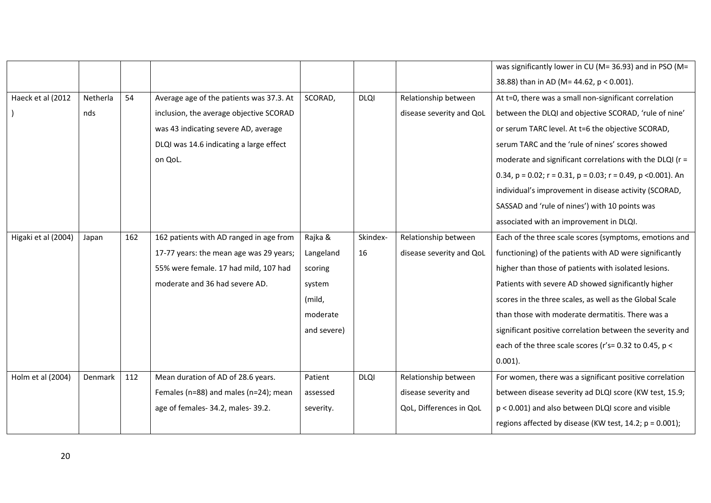|                     |          |     |                                          |             |             |                          | was significantly lower in CU (M= 36.93) and in PSO (M=                       |
|---------------------|----------|-----|------------------------------------------|-------------|-------------|--------------------------|-------------------------------------------------------------------------------|
|                     |          |     |                                          |             |             |                          | 38.88) than in AD (M= 44.62, $p < 0.001$ ).                                   |
| Haeck et al (2012   | Netherla | 54  | Average age of the patients was 37.3. At | SCORAD,     | <b>DLQI</b> | Relationship between     | At t=0, there was a small non-significant correlation                         |
|                     | nds      |     | inclusion, the average objective SCORAD  |             |             | disease severity and QoL | between the DLQI and objective SCORAD, 'rule of nine'                         |
|                     |          |     | was 43 indicating severe AD, average     |             |             |                          | or serum TARC level. At t=6 the objective SCORAD,                             |
|                     |          |     | DLQI was 14.6 indicating a large effect  |             |             |                          | serum TARC and the 'rule of nines' scores showed                              |
|                     |          |     | on QoL.                                  |             |             |                          | moderate and significant correlations with the DLQI (r =                      |
|                     |          |     |                                          |             |             |                          | 0.34, $p = 0.02$ ; $r = 0.31$ , $p = 0.03$ ; $r = 0.49$ , $p \le 0.001$ ). An |
|                     |          |     |                                          |             |             |                          | individual's improvement in disease activity (SCORAD,                         |
|                     |          |     |                                          |             |             |                          | SASSAD and 'rule of nines') with 10 points was                                |
|                     |          |     |                                          |             |             |                          | associated with an improvement in DLQI.                                       |
| Higaki et al (2004) | Japan    | 162 | 162 patients with AD ranged in age from  | Rajka &     | Skindex-    | Relationship between     | Each of the three scale scores (symptoms, emotions and                        |
|                     |          |     | 17-77 years: the mean age was 29 years;  | Langeland   | 16          | disease severity and QoL | functioning) of the patients with AD were significantly                       |
|                     |          |     | 55% were female. 17 had mild, 107 had    | scoring     |             |                          | higher than those of patients with isolated lesions.                          |
|                     |          |     | moderate and 36 had severe AD.           | system      |             |                          | Patients with severe AD showed significantly higher                           |
|                     |          |     |                                          | (mild,      |             |                          | scores in the three scales, as well as the Global Scale                       |
|                     |          |     |                                          | moderate    |             |                          | than those with moderate dermatitis. There was a                              |
|                     |          |     |                                          | and severe) |             |                          | significant positive correlation between the severity and                     |
|                     |          |     |                                          |             |             |                          | each of the three scale scores (r's= 0.32 to 0.45, p <                        |
|                     |          |     |                                          |             |             |                          | $0.001$ ).                                                                    |
| Holm et al (2004)   | Denmark  | 112 | Mean duration of AD of 28.6 years.       | Patient     | <b>DLQI</b> | Relationship between     | For women, there was a significant positive correlation                       |
|                     |          |     | Females (n=88) and males (n=24); mean    | assessed    |             | disease severity and     | between disease severity ad DLQI score (KW test, 15.9;                        |
|                     |          |     | age of females- 34.2, males- 39.2.       | severity.   |             | QoL, Differences in QoL  | p < 0.001) and also between DLQI score and visible                            |
|                     |          |     |                                          |             |             |                          | regions affected by disease (KW test, 14.2; $p = 0.001$ );                    |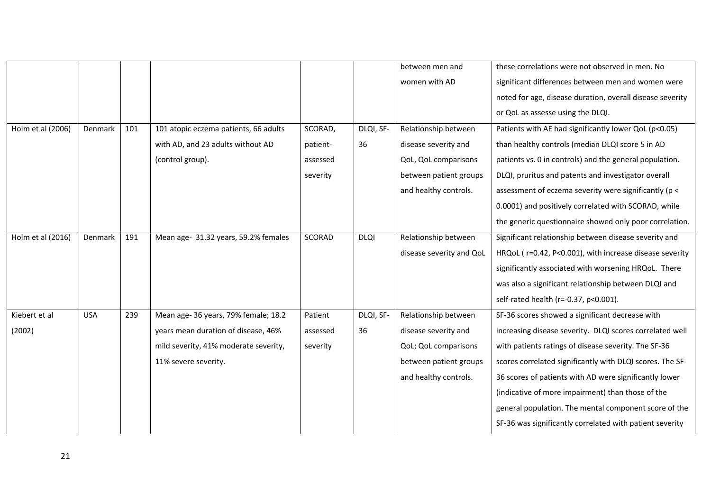|                   |            |     |                                       |               |             | between men and          | these correlations were not observed in men. No           |
|-------------------|------------|-----|---------------------------------------|---------------|-------------|--------------------------|-----------------------------------------------------------|
|                   |            |     |                                       |               |             | women with AD            | significant differences between men and women were        |
|                   |            |     |                                       |               |             |                          | noted for age, disease duration, overall disease severity |
|                   |            |     |                                       |               |             |                          | or QoL as assesse using the DLQI.                         |
| Holm et al (2006) | Denmark    | 101 | 101 atopic eczema patients, 66 adults | SCORAD,       | DLQI, SF-   | Relationship between     | Patients with AE had significantly lower QoL (p<0.05)     |
|                   |            |     | with AD, and 23 adults without AD     | patient-      | 36          | disease severity and     | than healthy controls (median DLQI score 5 in AD          |
|                   |            |     | (control group).                      | assessed      |             | QoL, QoL comparisons     | patients vs. 0 in controls) and the general population.   |
|                   |            |     |                                       | severity      |             | between patient groups   | DLQI, pruritus and patents and investigator overall       |
|                   |            |     |                                       |               |             | and healthy controls.    | assessment of eczema severity were significantly (p <     |
|                   |            |     |                                       |               |             |                          | 0.0001) and positively correlated with SCORAD, while      |
|                   |            |     |                                       |               |             |                          | the generic questionnaire showed only poor correlation.   |
| Holm et al (2016) | Denmark    | 191 | Mean age- 31.32 years, 59.2% females  | <b>SCORAD</b> | <b>DLQI</b> | Relationship between     | Significant relationship between disease severity and     |
|                   |            |     |                                       |               |             | disease severity and QoL | HRQoL (r=0.42, P<0.001), with increase disease severity   |
|                   |            |     |                                       |               |             |                          | significantly associated with worsening HRQoL. There      |
|                   |            |     |                                       |               |             |                          | was also a significant relationship between DLQI and      |
|                   |            |     |                                       |               |             |                          | self-rated health (r=-0.37, p<0.001).                     |
| Kiebert et al     | <b>USA</b> | 239 | Mean age-36 years, 79% female; 18.2   | Patient       | DLQI, SF-   | Relationship between     | SF-36 scores showed a significant decrease with           |
| (2002)            |            |     | years mean duration of disease, 46%   | assessed      | 36          | disease severity and     | increasing disease severity. DLQI scores correlated well  |
|                   |            |     | mild severity, 41% moderate severity, | severity      |             | QoL; QoL comparisons     | with patients ratings of disease severity. The SF-36      |
|                   |            |     | 11% severe severity.                  |               |             | between patient groups   | scores correlated significantly with DLQI scores. The SF- |
|                   |            |     |                                       |               |             | and healthy controls.    | 36 scores of patients with AD were significantly lower    |
|                   |            |     |                                       |               |             |                          | (indicative of more impairment) than those of the         |
|                   |            |     |                                       |               |             |                          | general population. The mental component score of the     |
|                   |            |     |                                       |               |             |                          | SF-36 was significantly correlated with patient severity  |
|                   |            |     |                                       |               |             |                          |                                                           |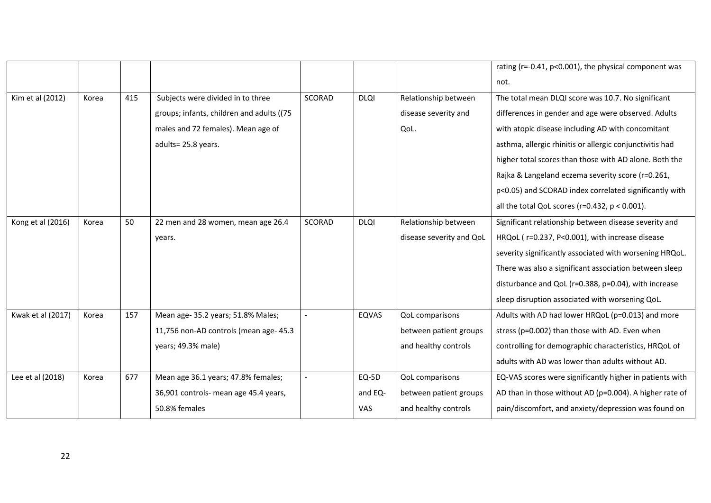|                   |       |     |                                           |               |             |                          | rating (r=-0.41, p<0.001), the physical component was    |
|-------------------|-------|-----|-------------------------------------------|---------------|-------------|--------------------------|----------------------------------------------------------|
|                   |       |     |                                           |               |             |                          | not.                                                     |
| Kim et al (2012)  | Korea | 415 | Subjects were divided in to three         | <b>SCORAD</b> | <b>DLQI</b> | Relationship between     | The total mean DLQI score was 10.7. No significant       |
|                   |       |     | groups; infants, children and adults ((75 |               |             | disease severity and     | differences in gender and age were observed. Adults      |
|                   |       |     | males and 72 females). Mean age of        |               |             | QoL.                     | with atopic disease including AD with concomitant        |
|                   |       |     | adults=25.8 years.                        |               |             |                          | asthma, allergic rhinitis or allergic conjunctivitis had |
|                   |       |     |                                           |               |             |                          | higher total scores than those with AD alone. Both the   |
|                   |       |     |                                           |               |             |                          | Rajka & Langeland eczema severity score (r=0.261,        |
|                   |       |     |                                           |               |             |                          | p<0.05) and SCORAD index correlated significantly with   |
|                   |       |     |                                           |               |             |                          | all the total QoL scores ( $r=0.432$ , $p < 0.001$ ).    |
| Kong et al (2016) | Korea | 50  | 22 men and 28 women, mean age 26.4        | <b>SCORAD</b> | <b>DLQI</b> | Relationship between     | Significant relationship between disease severity and    |
|                   |       |     | years.                                    |               |             | disease severity and QoL | HRQoL (r=0.237, P<0.001), with increase disease          |
|                   |       |     |                                           |               |             |                          | severity significantly associated with worsening HRQoL.  |
|                   |       |     |                                           |               |             |                          | There was also a significant association between sleep   |
|                   |       |     |                                           |               |             |                          | disturbance and QoL (r=0.388, p=0.04), with increase     |
|                   |       |     |                                           |               |             |                          | sleep disruption associated with worsening QoL.          |
| Kwak et al (2017) | Korea | 157 | Mean age- 35.2 years; 51.8% Males;        |               | EQVAS       | QoL comparisons          | Adults with AD had lower HRQoL (p=0.013) and more        |
|                   |       |     | 11,756 non-AD controls (mean age- 45.3    |               |             | between patient groups   | stress (p=0.002) than those with AD. Even when           |
|                   |       |     | years; 49.3% male)                        |               |             | and healthy controls     | controlling for demographic characteristics, HRQoL of    |
|                   |       |     |                                           |               |             |                          | adults with AD was lower than adults without AD.         |
| Lee et al (2018)  | Korea | 677 | Mean age 36.1 years; 47.8% females;       |               | EQ-5D       | QoL comparisons          | EQ-VAS scores were significantly higher in patients with |
|                   |       |     | 36,901 controls- mean age 45.4 years,     |               | and EQ-     | between patient groups   | AD than in those without AD (p=0.004). A higher rate of  |
|                   |       |     | 50.8% females                             |               | <b>VAS</b>  | and healthy controls     | pain/discomfort, and anxiety/depression was found on     |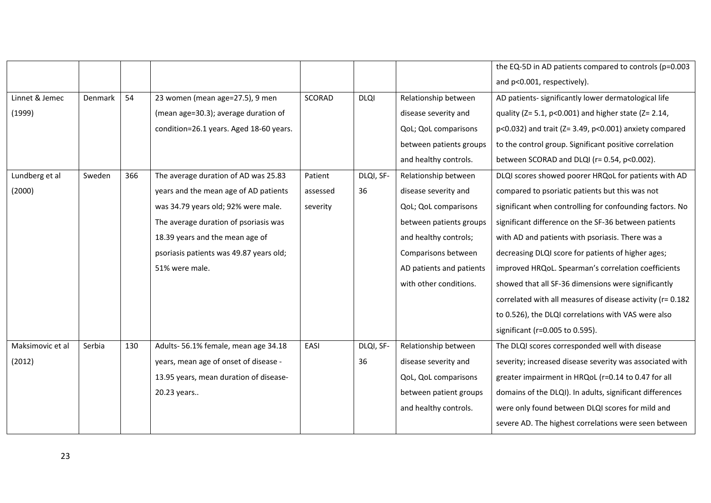|                  |         |     |                                         |               |             |                                                                                   | the EQ-5D in AD patients compared to controls (p=0.003              |
|------------------|---------|-----|-----------------------------------------|---------------|-------------|-----------------------------------------------------------------------------------|---------------------------------------------------------------------|
|                  |         |     |                                         |               |             |                                                                                   | and p<0.001, respectively).                                         |
| Linnet & Jemec   | Denmark | 54  | 23 women (mean age=27.5), 9 men         | <b>SCORAD</b> | <b>DLQI</b> | Relationship between                                                              | AD patients- significantly lower dermatological life                |
| (1999)           |         |     | (mean age=30.3); average duration of    |               |             | disease severity and                                                              | quality ( $Z = 5.1$ , $p < 0.001$ ) and higher state ( $Z = 2.14$ , |
|                  |         |     | condition=26.1 years. Aged 18-60 years. |               |             | QoL; QoL comparisons                                                              | p<0.032) and trait (Z= 3.49, p<0.001) anxiety compared              |
|                  |         |     |                                         |               |             | to the control group. Significant positive correlation<br>between patients groups |                                                                     |
|                  |         |     |                                         |               |             | and healthy controls.                                                             | between SCORAD and DLQI (r= 0.54, p<0.002).                         |
| Lundberg et al   | Sweden  | 366 | The average duration of AD was 25.83    | Patient       | DLQI, SF-   | Relationship between                                                              | DLQI scores showed poorer HRQoL for patients with AD                |
| (2000)           |         |     | years and the mean age of AD patients   | assessed      | 36          | disease severity and                                                              | compared to psoriatic patients but this was not                     |
|                  |         |     | was 34.79 years old; 92% were male.     | severity      |             | QoL; QoL comparisons                                                              | significant when controlling for confounding factors. No            |
|                  |         |     | The average duration of psoriasis was   |               |             | between patients groups                                                           | significant difference on the SF-36 between patients                |
|                  |         |     | 18.39 years and the mean age of         |               |             | and healthy controls;                                                             | with AD and patients with psoriasis. There was a                    |
|                  |         |     | psoriasis patients was 49.87 years old; |               |             | Comparisons between                                                               | decreasing DLQI score for patients of higher ages;                  |
|                  |         |     | 51% were male.                          |               |             | AD patients and patients                                                          | improved HRQoL. Spearman's correlation coefficients                 |
|                  |         |     |                                         |               |             | with other conditions.                                                            | showed that all SF-36 dimensions were significantly                 |
|                  |         |     |                                         |               |             |                                                                                   | correlated with all measures of disease activity (r= 0.182          |
|                  |         |     |                                         |               |             |                                                                                   | to 0.526), the DLQI correlations with VAS were also                 |
|                  |         |     |                                         |               |             |                                                                                   | significant (r=0.005 to 0.595).                                     |
| Maksimovic et al | Serbia  | 130 | Adults-56.1% female, mean age 34.18     | EASI          | DLQI, SF-   | Relationship between                                                              | The DLQI scores corresponded well with disease                      |
| (2012)           |         |     | years, mean age of onset of disease -   |               | 36          | disease severity and                                                              | severity; increased disease severity was associated with            |
|                  |         |     | 13.95 years, mean duration of disease-  |               |             | QoL, QoL comparisons                                                              | greater impairment in HRQoL (r=0.14 to 0.47 for all                 |
|                  |         |     | 20.23 years                             |               |             | between patient groups                                                            | domains of the DLQI). In adults, significant differences            |
|                  |         |     |                                         |               |             | and healthy controls.                                                             | were only found between DLQI scores for mild and                    |
|                  |         |     |                                         |               |             |                                                                                   | severe AD. The highest correlations were seen between               |
|                  |         |     |                                         |               |             |                                                                                   |                                                                     |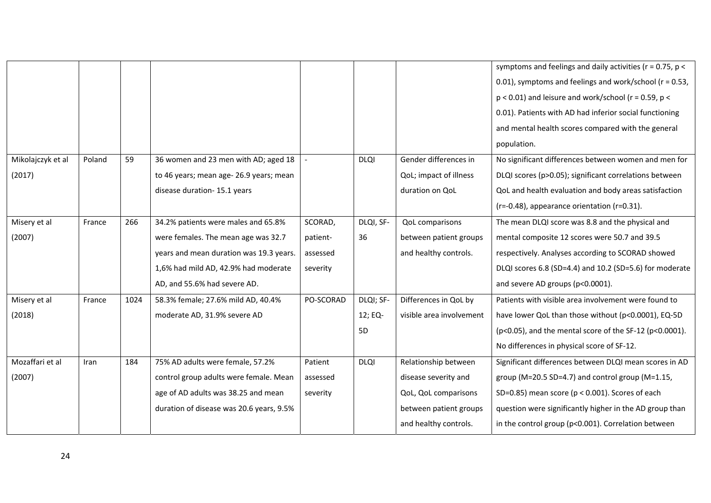|                   |        |      |                                          |           |             |                          | symptoms and feelings and daily activities ( $r = 0.75$ , $p <$<br>0.01), symptoms and feelings and work/school ( $r = 0.53$ ,<br>$p$ < 0.01) and leisure and work/school (r = 0.59, $p$ <<br>0.01). Patients with AD had inferior social functioning<br>and mental health scores compared with the general<br>population. |
|-------------------|--------|------|------------------------------------------|-----------|-------------|--------------------------|----------------------------------------------------------------------------------------------------------------------------------------------------------------------------------------------------------------------------------------------------------------------------------------------------------------------------|
| Mikolajczyk et al | Poland | 59   | 36 women and 23 men with AD; aged 18     |           | <b>DLQI</b> | Gender differences in    | No significant differences between women and men for                                                                                                                                                                                                                                                                       |
| (2017)            |        |      | to 46 years; mean age- 26.9 years; mean  |           |             | QoL; impact of illness   | DLQI scores (p>0.05); significant correlations between                                                                                                                                                                                                                                                                     |
|                   |        |      | disease duration- 15.1 years             |           |             | duration on QoL          | QoL and health evaluation and body areas satisfaction                                                                                                                                                                                                                                                                      |
|                   |        |      |                                          |           |             |                          | (r=-0.48), appearance orientation (r=0.31).                                                                                                                                                                                                                                                                                |
| Misery et al      | France | 266  | 34.2% patients were males and 65.8%      | SCORAD,   | DLQI, SF-   | QoL comparisons          | The mean DLQI score was 8.8 and the physical and                                                                                                                                                                                                                                                                           |
| (2007)            |        |      | were females. The mean age was 32.7      | patient-  | 36          | between patient groups   | mental composite 12 scores were 50.7 and 39.5                                                                                                                                                                                                                                                                              |
|                   |        |      | years and mean duration was 19.3 years.  | assessed  |             | and healthy controls.    | respectively. Analyses according to SCORAD showed                                                                                                                                                                                                                                                                          |
|                   |        |      | 1,6% had mild AD, 42.9% had moderate     | severity  |             |                          | DLQI scores 6.8 (SD=4.4) and 10.2 (SD=5.6) for moderate                                                                                                                                                                                                                                                                    |
|                   |        |      | AD, and 55.6% had severe AD.             |           |             |                          | and severe AD groups (p<0.0001).                                                                                                                                                                                                                                                                                           |
| Misery et al      | France | 1024 | 58.3% female; 27.6% mild AD, 40.4%       | PO-SCORAD | DLQI; SF-   | Differences in QoL by    | Patients with visible area involvement were found to                                                                                                                                                                                                                                                                       |
| (2018)            |        |      | moderate AD, 31.9% severe AD             |           | 12; EQ-     | visible area involvement | have lower QoL than those without (p<0.0001), EQ-5D                                                                                                                                                                                                                                                                        |
|                   |        |      |                                          |           | 5D          |                          | ( $p$ <0.05), and the mental score of the SF-12 ( $p$ <0.0001).                                                                                                                                                                                                                                                            |
|                   |        |      |                                          |           |             |                          | No differences in physical score of SF-12.                                                                                                                                                                                                                                                                                 |
| Mozaffari et al   | Iran   | 184  | 75% AD adults were female, 57.2%         | Patient   | <b>DLQI</b> | Relationship between     | Significant differences between DLQI mean scores in AD                                                                                                                                                                                                                                                                     |
| (2007)            |        |      | control group adults were female. Mean   | assessed  |             | disease severity and     | group (M=20.5 SD=4.7) and control group (M=1.15,                                                                                                                                                                                                                                                                           |
|                   |        |      | age of AD adults was 38.25 and mean      | severity  |             | QoL, QoL comparisons     | SD=0.85) mean score ( $p < 0.001$ ). Scores of each                                                                                                                                                                                                                                                                        |
|                   |        |      | duration of disease was 20.6 years, 9.5% |           |             | between patient groups   | question were significantly higher in the AD group than                                                                                                                                                                                                                                                                    |
|                   |        |      |                                          |           |             | and healthy controls.    | in the control group (p<0.001). Correlation between                                                                                                                                                                                                                                                                        |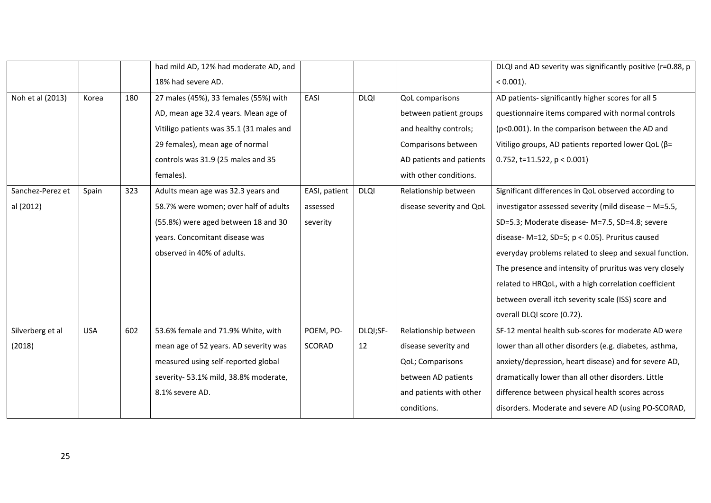|                  |            |     | had mild AD, 12% had moderate AD, and    |               |             |                          | DLQI and AD severity was significantly positive (r=0.88, p  |
|------------------|------------|-----|------------------------------------------|---------------|-------------|--------------------------|-------------------------------------------------------------|
|                  |            |     | 18% had severe AD.                       |               |             |                          | $< 0.001$ ).                                                |
| Noh et al (2013) | Korea      | 180 | 27 males (45%), 33 females (55%) with    | EASI          | <b>DLQI</b> | QoL comparisons          | AD patients- significantly higher scores for all 5          |
|                  |            |     | AD, mean age 32.4 years. Mean age of     |               |             | between patient groups   | questionnaire items compared with normal controls           |
|                  |            |     | Vitiligo patients was 35.1 (31 males and |               |             | and healthy controls;    | (p<0.001). In the comparison between the AD and             |
|                  |            |     | 29 females), mean age of normal          |               |             | Comparisons between      | Vitiligo groups, AD patients reported lower QoL ( $\beta$ = |
|                  |            |     | controls was 31.9 (25 males and 35       |               |             | AD patients and patients | 0.752, t=11.522, $p < 0.001$ )                              |
|                  |            |     | females).                                |               |             | with other conditions.   |                                                             |
| Sanchez-Perez et | Spain      | 323 | Adults mean age was 32.3 years and       | EASI, patient | <b>DLQI</b> | Relationship between     | Significant differences in QoL observed according to        |
| al (2012)        |            |     | 58.7% were women; over half of adults    | assessed      |             | disease severity and QoL | investigator assessed severity (mild disease - M=5.5,       |
|                  |            |     | (55.8%) were aged between 18 and 30      | severity      |             |                          | SD=5.3; Moderate disease- M=7.5, SD=4.8; severe             |
|                  |            |     | years. Concomitant disease was           |               |             |                          | disease- M=12, SD=5; $p < 0.05$ ). Pruritus caused          |
|                  |            |     | observed in 40% of adults.               |               |             |                          | everyday problems related to sleep and sexual function.     |
|                  |            |     |                                          |               |             |                          | The presence and intensity of pruritus was very closely     |
|                  |            |     |                                          |               |             |                          | related to HRQoL, with a high correlation coefficient       |
|                  |            |     |                                          |               |             |                          | between overall itch severity scale (ISS) score and         |
|                  |            |     |                                          |               |             |                          | overall DLQI score (0.72).                                  |
| Silverberg et al | <b>USA</b> | 602 | 53.6% female and 71.9% White, with       | POEM, PO-     | DLQI;SF-    | Relationship between     | SF-12 mental health sub-scores for moderate AD were         |
| (2018)           |            |     | mean age of 52 years. AD severity was    | SCORAD        | 12          | disease severity and     | lower than all other disorders (e.g. diabetes, asthma,      |
|                  |            |     | measured using self-reported global      |               |             | QoL; Comparisons         | anxiety/depression, heart disease) and for severe AD,       |
|                  |            |     | severity- 53.1% mild, 38.8% moderate,    |               |             | between AD patients      | dramatically lower than all other disorders. Little         |
|                  |            |     | 8.1% severe AD.                          |               |             | and patients with other  | difference between physical health scores across            |
|                  |            |     |                                          |               |             | conditions.              | disorders. Moderate and severe AD (using PO-SCORAD,         |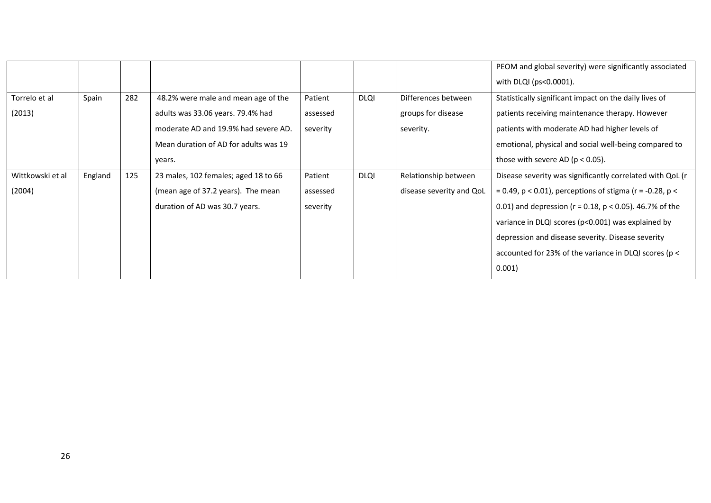|                  |         |     |                                       |          |             |                          | PEOM and global severity) were significantly associated<br>with DLQI (ps<0.0001). |
|------------------|---------|-----|---------------------------------------|----------|-------------|--------------------------|-----------------------------------------------------------------------------------|
| Torrelo et al    | Spain   | 282 | 48.2% were male and mean age of the   | Patient  | <b>DLQI</b> | Differences between      | Statistically significant impact on the daily lives of                            |
| (2013)           |         |     | adults was 33.06 years. 79.4% had     | assessed |             | groups for disease       | patients receiving maintenance therapy. However                                   |
|                  |         |     | moderate AD and 19.9% had severe AD.  | severity |             | severity.                | patients with moderate AD had higher levels of                                    |
|                  |         |     | Mean duration of AD for adults was 19 |          |             |                          | emotional, physical and social well-being compared to                             |
|                  |         |     | years.                                |          |             |                          | those with severe AD ( $p < 0.05$ ).                                              |
| Wittkowski et al | England | 125 | 23 males, 102 females; aged 18 to 66  | Patient  | <b>DLQI</b> | Relationship between     | Disease severity was significantly correlated with QoL (r                         |
| (2004)           |         |     | (mean age of 37.2 years). The mean    | assessed |             | disease severity and QoL | $= 0.49$ , p < 0.01), perceptions of stigma (r = -0.28, p <                       |
|                  |         |     | duration of AD was 30.7 years.        | severity |             |                          | 0.01) and depression ( $r = 0.18$ , $p < 0.05$ ). 46.7% of the                    |
|                  |         |     |                                       |          |             |                          | variance in DLQI scores (p<0.001) was explained by                                |
|                  |         |     |                                       |          |             |                          | depression and disease severity. Disease severity                                 |
|                  |         |     |                                       |          |             |                          | accounted for 23% of the variance in DLQI scores ( $p <$                          |
|                  |         |     |                                       |          |             |                          | 0.001)                                                                            |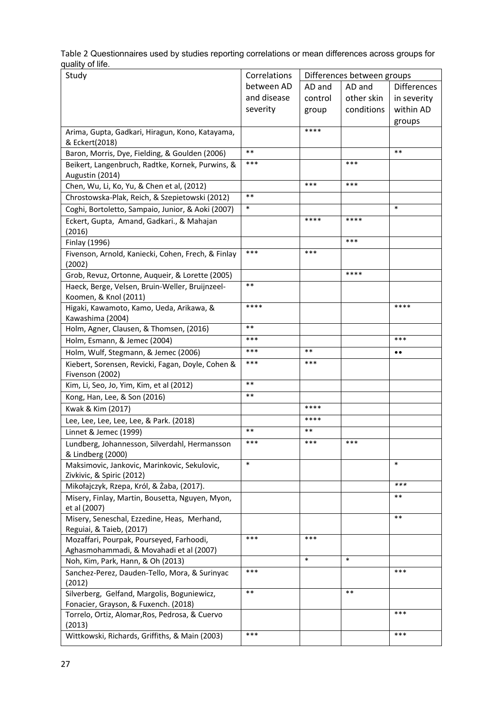| Table 2 Questionnaires used by studies reporting correlations or mean differences across groups for |  |  |
|-----------------------------------------------------------------------------------------------------|--|--|
| quality of life.                                                                                    |  |  |

| Study                                                                               | Correlations | Differences between groups |            |             |  |
|-------------------------------------------------------------------------------------|--------------|----------------------------|------------|-------------|--|
|                                                                                     | between AD   | AD and                     | AD and     | Differences |  |
|                                                                                     | and disease  | control                    | other skin | in severity |  |
|                                                                                     | severity     | group                      | conditions | within AD   |  |
|                                                                                     |              |                            |            | groups      |  |
| Arima, Gupta, Gadkari, Hiragun, Kono, Katayama,<br>& Eckert(2018)                   |              | ****                       |            |             |  |
| Baron, Morris, Dye, Fielding, & Goulden (2006)                                      | $***$        |                            |            | $***$       |  |
| Beikert, Langenbruch, Radtke, Kornek, Purwins, &                                    | ***          |                            | ***        |             |  |
| Augustin (2014)                                                                     |              |                            |            |             |  |
| Chen, Wu, Li, Ko, Yu, & Chen et al, (2012)                                          |              | ***                        | ***        |             |  |
| Chrostowska-Plak, Reich, & Szepietowski (2012)                                      | $***$        |                            |            |             |  |
| Coghi, Bortoletto, Sampaio, Junior, & Aoki (2007)                                   | $\ast$       |                            |            | $\ast$      |  |
| Eckert, Gupta, Amand, Gadkari., & Mahajan                                           |              | ****                       | ****       |             |  |
| (2016)                                                                              |              |                            |            |             |  |
| Finlay (1996)                                                                       |              |                            | ***        |             |  |
| Fivenson, Arnold, Kaniecki, Cohen, Frech, & Finlay<br>(2002)                        | ***          | ***                        |            |             |  |
| Grob, Revuz, Ortonne, Auqueir, & Lorette (2005)                                     |              |                            | ****       |             |  |
| Haeck, Berge, Velsen, Bruin-Weller, Bruijnzeel-                                     | $***$        |                            |            |             |  |
| Koomen, & Knol (2011)<br>Higaki, Kawamoto, Kamo, Ueda, Arikawa, &                   | ****         |                            |            | ****        |  |
| Kawashima (2004)                                                                    |              |                            |            |             |  |
| Holm, Agner, Clausen, & Thomsen, (2016)                                             | $***$        |                            |            |             |  |
| Holm, Esmann, & Jemec (2004)                                                        | ***          |                            |            | ***         |  |
| Holm, Wulf, Stegmann, & Jemec (2006)                                                | ***          | $***$                      |            | $\bullet$   |  |
| Kiebert, Sorensen, Revicki, Fagan, Doyle, Cohen &                                   | ***          | ***                        |            |             |  |
| Fivenson (2002)                                                                     |              |                            |            |             |  |
| Kim, Li, Seo, Jo, Yim, Kim, et al (2012)                                            | $***$        |                            |            |             |  |
| Kong, Han, Lee, & Son (2016)                                                        | $***$        |                            |            |             |  |
| Kwak & Kim (2017)                                                                   |              | ****                       |            |             |  |
| Lee, Lee, Lee, Lee, Lee, & Park. (2018)                                             |              | ****                       |            |             |  |
| Linnet & Jemec (1999)                                                               | $***$        | $***$                      |            |             |  |
| Lundberg, Johannesson, Silverdahl, Hermansson                                       | $***$        | $***$                      | ***        |             |  |
| & Lindberg (2000)                                                                   |              |                            |            |             |  |
| Maksimovic, Jankovic, Marinkovic, Sekulovic,                                        | $\ast$       |                            |            | $\ast$      |  |
| Zivkivic, & Spiric (2012)                                                           |              |                            |            |             |  |
| Mikołajczyk, Rzepa, Król, & Żaba, (2017).                                           |              |                            |            | $***$       |  |
| Misery, Finlay, Martin, Bousetta, Nguyen, Myon,                                     |              |                            |            | $***$       |  |
| et al (2007)                                                                        |              |                            |            |             |  |
| Misery, Seneschal, Ezzedine, Heas, Merhand,                                         |              |                            |            | $***$       |  |
| Reguiai, & Taieb, (2017)                                                            | ***          | ***                        |            |             |  |
| Mozaffari, Pourpak, Pourseyed, Farhoodi,<br>Aghasmohammadi, & Movahadi et al (2007) |              |                            |            |             |  |
| Noh, Kim, Park, Hann, & Oh (2013)                                                   |              | $\ast$                     | $\ast$     |             |  |
| Sanchez-Perez, Dauden-Tello, Mora, & Surinyac                                       | ***          |                            |            | ***         |  |
| (2012)                                                                              |              |                            |            |             |  |
| Silverberg, Gelfand, Margolis, Boguniewicz,                                         | $***$        |                            | $***$      |             |  |
| Fonacier, Grayson, & Fuxench. (2018)                                                |              |                            |            |             |  |
| Torrelo, Ortiz, Alomar, Ros, Pedrosa, & Cuervo<br>(2013)                            |              |                            |            | $***$       |  |
| Wittkowski, Richards, Griffiths, & Main (2003)                                      | ***          |                            |            | ***         |  |
|                                                                                     |              |                            |            |             |  |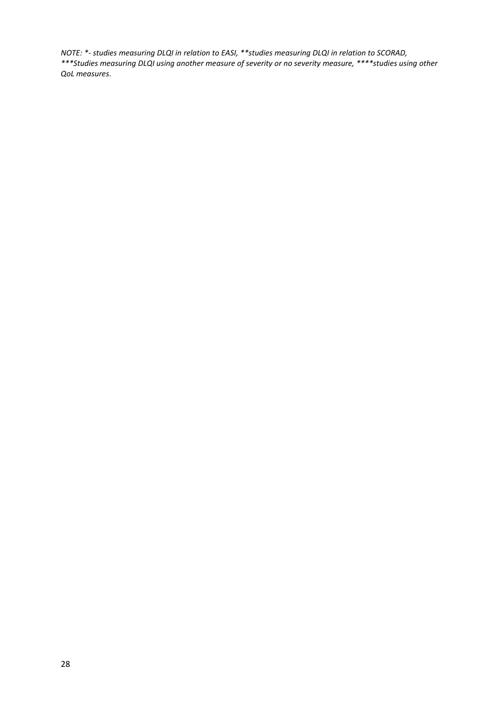*NOTE: \*‐ studies measuring DLQI in relation to EASI, \*\*studies measuring DLQI in relation to SCORAD, \*\*\*Studies measuring DLQI using another measure of severity or no severity measure, \*\*\*\*studies using other QoL measures*.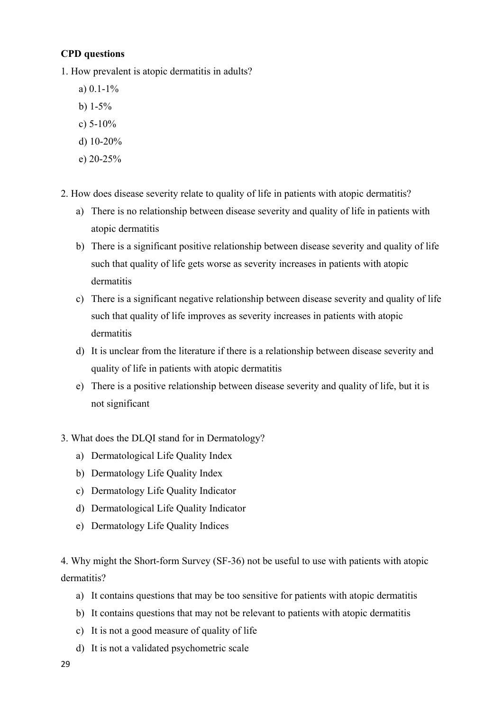# **CPD questions**

- 1. How prevalent is atopic dermatitis in adults?
	- a)  $0.1 1\%$
	- b)  $1-5%$
	- c) 5-10%
	- d) 10-20%
	- e) 20-25%
- 2. How does disease severity relate to quality of life in patients with atopic dermatitis?
	- a) There is no relationship between disease severity and quality of life in patients with atopic dermatitis
	- b) There is a significant positive relationship between disease severity and quality of life such that quality of life gets worse as severity increases in patients with atopic dermatitis
	- c) There is a significant negative relationship between disease severity and quality of life such that quality of life improves as severity increases in patients with atopic dermatitis
	- d) It is unclear from the literature if there is a relationship between disease severity and quality of life in patients with atopic dermatitis
	- e) There is a positive relationship between disease severity and quality of life, but it is not significant
- 3. What does the DLQI stand for in Dermatology?
	- a) Dermatological Life Quality Index
	- b) Dermatology Life Quality Index
	- c) Dermatology Life Quality Indicator
	- d) Dermatological Life Quality Indicator
	- e) Dermatology Life Quality Indices

4. Why might the Short-form Survey (SF-36) not be useful to use with patients with atopic dermatitis?

- a) It contains questions that may be too sensitive for patients with atopic dermatitis
- b) It contains questions that may not be relevant to patients with atopic dermatitis
- c) It is not a good measure of quality of life
- d) It is not a validated psychometric scale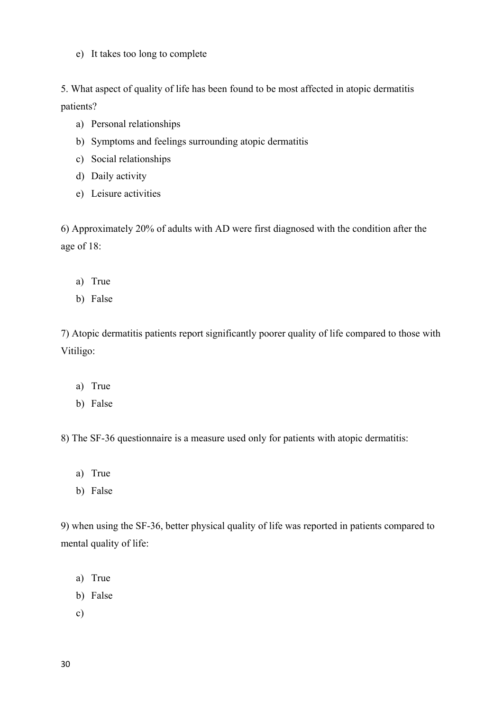e) It takes too long to complete

5. What aspect of quality of life has been found to be most affected in atopic dermatitis patients?

- a) Personal relationships
- b) Symptoms and feelings surrounding atopic dermatitis
- c) Social relationships
- d) Daily activity
- e) Leisure activities

6) Approximately 20% of adults with AD were first diagnosed with the condition after the age of 18:

- a) True
- b) False

7) Atopic dermatitis patients report significantly poorer quality of life compared to those with Vitiligo:

- a) True
- b) False

8) The SF-36 questionnaire is a measure used only for patients with atopic dermatitis:

- a) True
- b) False

9) when using the SF-36, better physical quality of life was reported in patients compared to mental quality of life:

- a) True
- b) False
- c)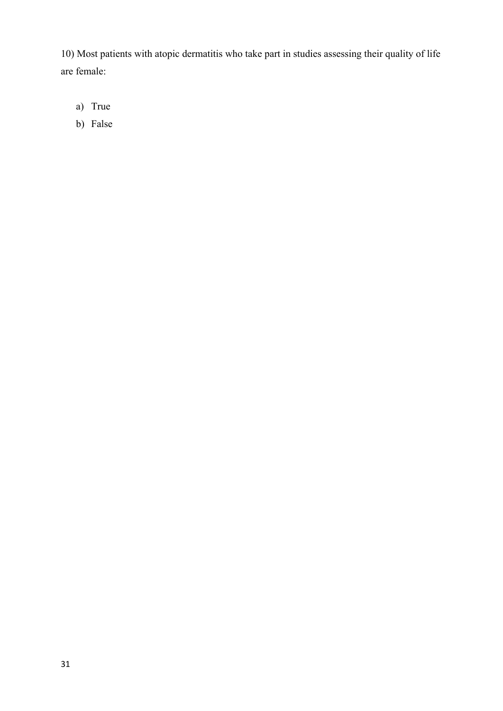10) Most patients with atopic dermatitis who take part in studies assessing their quality of life are female:

a) True

b) False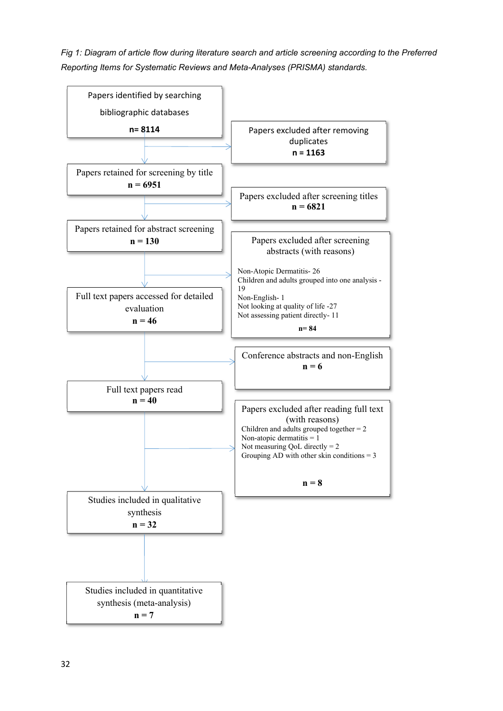*Fig 1: Diagram of article flow during literature search and article screening according to the Preferred Reporting Items for Systematic Reviews and Meta-Analyses (PRISMA) standards.*